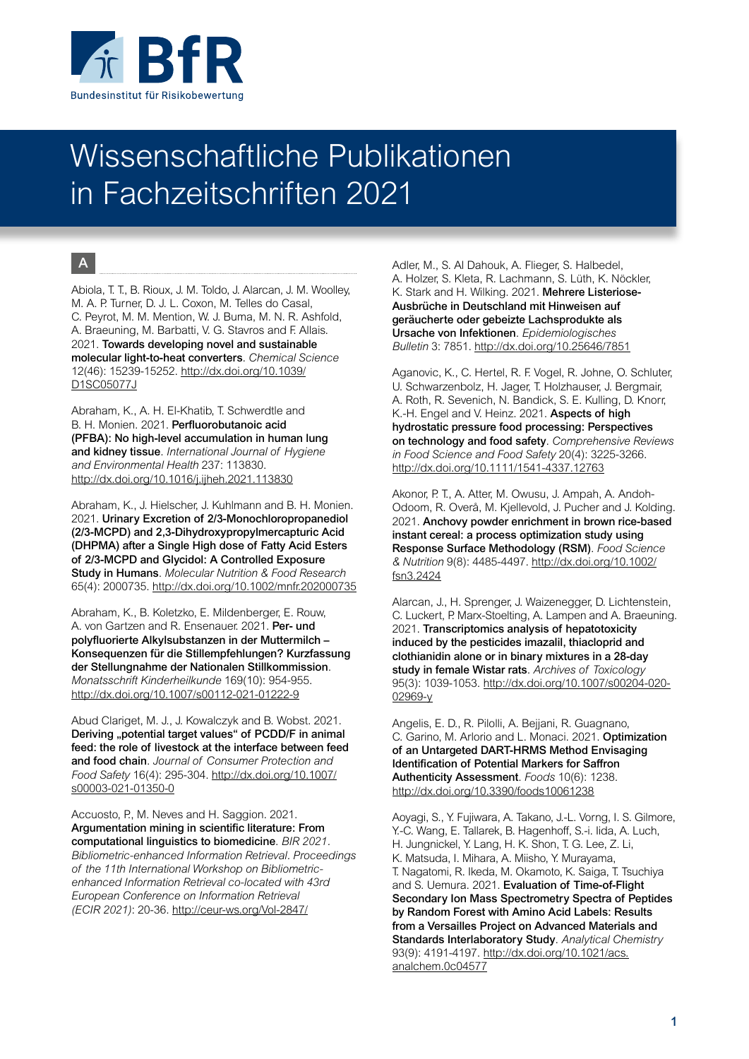

# Wissenschaftliche Publikationen in Fachzeitschriften 2021

A

Abiola, T. T., B. Rioux, J. M. Toldo, J. Alarcan, J. M. Woolley, M. A. P. Turner, D. J. L. Coxon, M. Telles do Casal, C. Peyrot, M. M. Mention, W. J. Buma, M. N. R. Ashfold, A. Braeuning, M. Barbatti, V. G. Stavros and F. Allais. 2021. Towards developing novel and sustainable molecular light-to-heat converters. *Chemical Science* 12(46): 15239-15252. [http://dx.doi.org/10.1039/](http://dx.doi.org/10.1039/D1SC05077J) [D1SC05077J](http://dx.doi.org/10.1039/D1SC05077J)

Abraham, K., A. H. El-Khatib, T. Schwerdtle and B. H. Monien. 2021. Perfluorobutanoic acid (PFBA): No high-level accumulation in human lung and kidney tissue. *International Journal of Hygiene and Environmental Health* 237: 113830. <http://dx.doi.org/10.1016/j.ijheh.2021.113830>

Abraham, K., J. Hielscher, J. Kuhlmann and B. H. Monien. 2021. Urinary Excretion of 2/3-Monochloropropanediol (2/3-MCPD) and 2,3-Dihydroxypropylmercapturic Acid (DHPMA) after a Single High dose of Fatty Acid Esters of 2/3-MCPD and Glycidol: A Controlled Exposure Study in Humans. *Molecular Nutrition & Food Research* 65(4): 2000735.<http://dx.doi.org/10.1002/mnfr.202000735>

Abraham, K., B. Koletzko, E. Mildenberger, E. Rouw, A. von Gartzen and R. Ensenauer. 2021. Per- und polyfluorierte Alkylsubstanzen in der Muttermilch – Konsequenzen für die Stillempfehlungen? Kurzfassung der Stellungnahme der Nationalen Stillkommission. *Monatsschrift Kinderheilkunde* 169(10): 954-955. <http://dx.doi.org/10.1007/s00112-021-01222-9>

Abud Clariget, M. J., J. Kowalczyk and B. Wobst. 2021. Deriving "potential target values" of PCDD/F in animal feed: the role of livestock at the interface between feed and food chain. *Journal of Consumer Protection and Food Safety* 16(4): 295-304. [http://dx.doi.org/10.1007/](http://dx.doi.org/10.1007/s00003-021-01350-0) [s00003-021-01350-0](http://dx.doi.org/10.1007/s00003-021-01350-0)

Accuosto, P., M. Neves and H. Saggion. 2021. Argumentation mining in scientific literature: From computational linguistics to biomedicine. *BIR 2021. Bibliometric-enhanced Information Retrieval. Proceedings of the 11th International Workshop on Bibliometricenhanced Information Retrieval co-located with 43rd European Conference on Information Retrieval (ECIR 2021)*: 20-36.<http://ceur-ws.org/Vol-2847/>

Adler, M., S. Al Dahouk, A. Flieger, S. Halbedel, A. Holzer, S. Kleta, R. Lachmann, S. Lüth, K. Nöckler, K. Stark and H. Wilking. 2021. Mehrere Listeriose-Ausbrüche in Deutschland mit Hinweisen auf geräucherte oder gebeizte Lachsprodukte als Ursache von Infektionen. *Epidemiologisches Bulletin* 3: 7851.<http://dx.doi.org/10.25646/7851>

Aganovic, K., C. Hertel, R. F. Vogel, R. Johne, O. Schluter, U. Schwarzenbolz, H. Jager, T. Holzhauser, J. Bergmair, A. Roth, R. Sevenich, N. Bandick, S. E. Kulling, D. Knorr, K.-H. Engel and V. Heinz. 2021. Aspects of high hydrostatic pressure food processing: Perspectives on technology and food safety. *Comprehensive Reviews in Food Science and Food Safety* 20(4): 3225-3266. <http://dx.doi.org/10.1111/1541-4337.12763>

Akonor, P. T., A. Atter, M. Owusu, J. Ampah, A. Andoh-Odoom, R. Overå, M. Kjellevold, J. Pucher and J. Kolding. 2021. Anchovy powder enrichment in brown rice-based instant cereal: a process optimization study using Response Surface Methodology (RSM). *Food Science & Nutrition* 9(8): 4485-4497. [http://dx.doi.org/10.1002/](http://dx.doi.org/10.1002/fsn3.2424) [fsn3.2424](http://dx.doi.org/10.1002/fsn3.2424)

Alarcan, J., H. Sprenger, J. Waizenegger, D. Lichtenstein, C. Luckert, P. Marx-Stoelting, A. Lampen and A. Braeuning. 2021. Transcriptomics analysis of hepatotoxicity induced by the pesticides imazalil, thiacloprid and clothianidin alone or in binary mixtures in a 28-day study in female Wistar rats. *Archives of Toxicology* 95(3): 1039-1053. [http://dx.doi.org/10.1007/s00204-020-](http://dx.doi.org/10.1007/s00204-020-02969-y) [02969-y](http://dx.doi.org/10.1007/s00204-020-02969-y)

Angelis, E. D., R. Pilolli, A. Bejjani, R. Guagnano, C. Garino, M. Arlorio and L. Monaci. 2021. Optimization of an Untargeted DART-HRMS Method Envisaging Identification of Potential Markers for Saffron Authenticity Assessment. *Foods* 10(6): 1238. <http://dx.doi.org/10.3390/foods10061238>

Aoyagi, S., Y. Fujiwara, A. Takano, J.-L. Vorng, I. S. Gilmore, Y.-C. Wang, E. Tallarek, B. Hagenhoff, S.-i. Iida, A. Luch, H. Jungnickel, Y. Lang, H. K. Shon, T. G. Lee, Z. Li, K. Matsuda, I. Mihara, A. Miisho, Y. Murayama, T. Nagatomi, R. Ikeda, M. Okamoto, K. Saiga, T. Tsuchiya and S. Uemura. 2021. Evaluation of Time-of-Flight Secondary Ion Mass Spectrometry Spectra of Peptides by Random Forest with Amino Acid Labels: Results from a Versailles Project on Advanced Materials and Standards Interlaboratory Study. *Analytical Chemistry* 93(9): 4191-4197. [http://dx.doi.org/10.1021/acs.](http://dx.doi.org/10.1021/acs.analchem.0c04577) [analchem.0c04577](http://dx.doi.org/10.1021/acs.analchem.0c04577)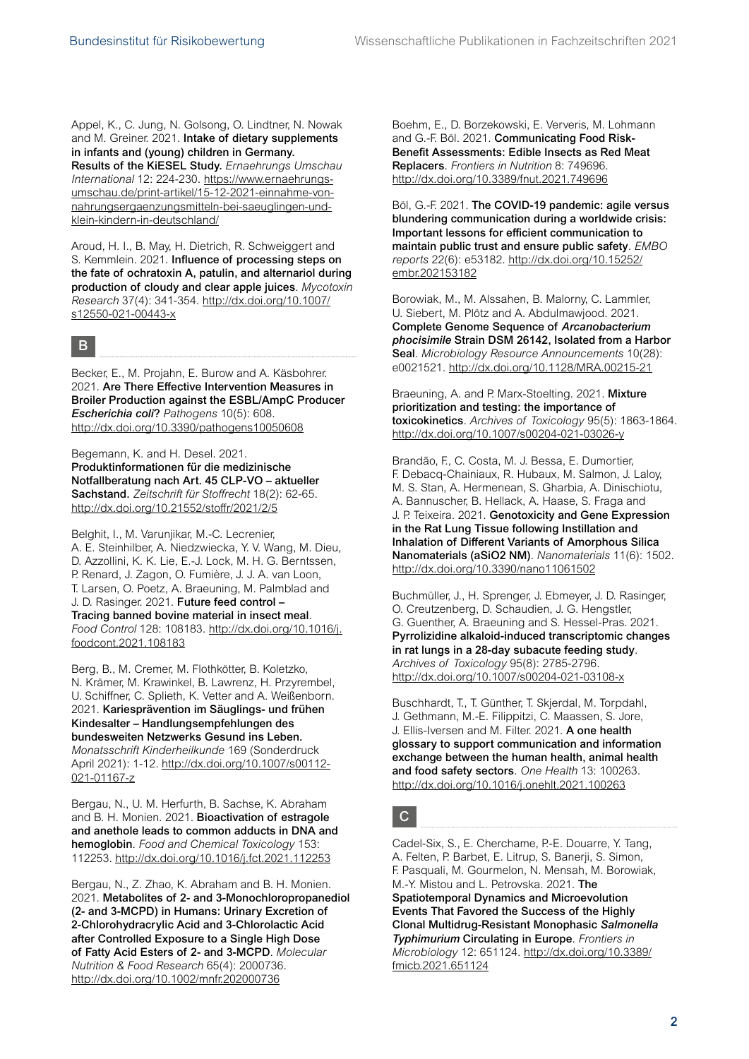Appel, K., C. Jung, N. Golsong, O. Lindtner, N. Nowak and M. Greiner. 2021. Intake of dietary supplements in infants and (young) children in Germany.

Results of the KiESEL Study. *Ernaehrungs Umschau International* 12: 224-230. [https://www.ernaehrungs](https://www.ernaehrungs-umschau.de/print-artikel/15-12-2021-einnahme-von-nahrungsergaenzungsmitteln-bei-saeuglingen-und-klein-kindern-in-deutschland/)[umschau.de/print-artikel/15-12-2021-einnahme-von](https://www.ernaehrungs-umschau.de/print-artikel/15-12-2021-einnahme-von-nahrungsergaenzungsmitteln-bei-saeuglingen-und-klein-kindern-in-deutschland/)[nahrungsergaenzungsmitteln-bei-saeuglingen-und](https://www.ernaehrungs-umschau.de/print-artikel/15-12-2021-einnahme-von-nahrungsergaenzungsmitteln-bei-saeuglingen-und-klein-kindern-in-deutschland/)[klein-kindern-in-deutschland/](https://www.ernaehrungs-umschau.de/print-artikel/15-12-2021-einnahme-von-nahrungsergaenzungsmitteln-bei-saeuglingen-und-klein-kindern-in-deutschland/)

Aroud, H. I., B. May, H. Dietrich, R. Schweiggert and S. Kemmlein. 2021. Influence of processing steps on the fate of ochratoxin A, patulin, and alternariol during production of cloudy and clear apple juices. *Mycotoxin Research* 37(4): 341-354. [http://dx.doi.org/10.1007/](http://dx.doi.org/10.1007/s12550-021-00443-x) [s12550-021-00443-x](http://dx.doi.org/10.1007/s12550-021-00443-x)

#### B

Becker, E., M. Projahn, E. Burow and A. Käsbohrer. 2021. Are There Effective Intervention Measures in Broiler Production against the ESBL/AmpC Producer *Escherichia coli*? *Pathogens* 10(5): 608. <http://dx.doi.org/10.3390/pathogens10050608>

Begemann, K. and H. Desel. 2021. Produktinformationen für die medizinische Notfallberatung nach Art. 45 CLP-VO – aktueller Sachstand. *Zeitschrift für Stoffrecht* 18(2): 62-65. <http://dx.doi.org/10.21552/stoffr/2021/2/5>

Belghit, I., M. Varunjikar, M.-C. Lecrenier, A. E. Steinhilber, A. Niedzwiecka, Y. V. Wang, M. Dieu, D. Azzollini, K. K. Lie, E.-J. Lock, M. H. G. Berntssen, P. Renard, J. Zagon, O. Fumière, J. J. A. van Loon, T. Larsen, O. Poetz, A. Braeuning, M. Palmblad and J. D. Rasinger. 2021. Future feed control – Tracing banned bovine material in insect meal. *Food Control* 128: 108183. [http://dx.doi.org/10.1016/j.](http://dx.doi.org/10.1016/j.foodcont.2021.108183) [foodcont.2021.108183](http://dx.doi.org/10.1016/j.foodcont.2021.108183)

Berg, B., M. Cremer, M. Flothkötter, B. Koletzko, N. Krämer, M. Krawinkel, B. Lawrenz, H. Przyrembel, U. Schiffner, C. Splieth, K. Vetter and A. Weißenborn. 2021. Kariesprävention im Säuglings- und frühen Kindesalter – Handlungsempfehlungen des bundesweiten Netzwerks Gesund ins Leben. *Monatsschrift Kinderheilkunde* 169 (Sonderdruck April 2021): 1-12. [http://dx.doi.org/10.1007/s00112-](http://dx.doi.org/10.1007/s00112-021-01167-z) [021-01167-z](http://dx.doi.org/10.1007/s00112-021-01167-z)

Bergau, N., U. M. Herfurth, B. Sachse, K. Abraham and B. H. Monien. 2021. Bioactivation of estragole and anethole leads to common adducts in DNA and hemoglobin. *Food and Chemical Toxicology* 153: 112253. <http://dx.doi.org/10.1016/j.fct.2021.112253>

Bergau, N., Z. Zhao, K. Abraham and B. H. Monien. 2021. Metabolites of 2- and 3-Monochloropropanediol (2- and 3-MCPD) in Humans: Urinary Excretion of 2-Chlorohydracrylic Acid and 3-Chlorolactic Acid after Controlled Exposure to a Single High Dose of Fatty Acid Esters of 2- and 3-MCPD. *Molecular Nutrition & Food Research* 65(4): 2000736. <http://dx.doi.org/10.1002/mnfr.202000736>

Boehm, E., D. Borzekowski, E. Ververis, M. Lohmann and G.-F. Böl. 2021. Communicating Food Risk-Benefit Assessments: Edible Insects as Red Meat Replacers. *Frontiers in Nutrition* 8: 749696. <http://dx.doi.org/10.3389/fnut.2021.749696>

Böl, G.-F. 2021. The COVID-19 pandemic: agile versus blundering communication during a worldwide crisis: Important lessons for efficient communication to maintain public trust and ensure public safety. *EMBO reports* 22(6): e53182. [http://dx.doi.org/10.15252/](http://dx.doi.org/10.15252/embr.202153182) [embr.202153182](http://dx.doi.org/10.15252/embr.202153182)

Borowiak, M., M. Alssahen, B. Malorny, C. Lammler, U. Siebert, M. Plötz and A. Abdulmawjood. 2021. Complete Genome Sequence of *Arcanobacterium phocisimile* Strain DSM 26142, Isolated from a Harbor Seal. *Microbiology Resource Announcements* 10(28): e0021521. <http://dx.doi.org/10.1128/MRA.00215-21>

Braeuning, A. and P. Marx-Stoelting. 2021. Mixture prioritization and testing: the importance of toxicokinetics. *Archives of Toxicology* 95(5): 1863-1864. <http://dx.doi.org/10.1007/s00204-021-03026-y>

Brandão, F., C. Costa, M. J. Bessa, E. Dumortier, F. Debacq-Chainiaux, R. Hubaux, M. Salmon, J. Laloy, M. S. Stan, A. Hermenean, S. Gharbia, A. Dinischiotu, A. Bannuscher, B. Hellack, A. Haase, S. Fraga and J. P. Teixeira. 2021. Genotoxicity and Gene Expression in the Rat Lung Tissue following Instillation and Inhalation of Different Variants of Amorphous Silica Nanomaterials (aSiO2 NM). *Nanomaterials* 11(6): 1502. <http://dx.doi.org/10.3390/nano11061502>

Buchmüller, J., H. Sprenger, J. Ebmeyer, J. D. Rasinger, O. Creutzenberg, D. Schaudien, J. G. Hengstler, G. Guenther, A. Braeuning and S. Hessel-Pras. 2021. Pyrrolizidine alkaloid-induced transcriptomic changes in rat lungs in a 28-day subacute feeding study. *Archives of Toxicology* 95(8): 2785-2796. <http://dx.doi.org/10.1007/s00204-021-03108-x>

Buschhardt, T., T. Günther, T. Skjerdal, M. Torpdahl, J. Gethmann, M.-E. Filippitzi, C. Maassen, S. Jore, J. Ellis-Iversen and M. Filter. 2021. A one health glossary to support communication and information exchange between the human health, animal health and food safety sectors. *One Health* 13: 100263. <http://dx.doi.org/10.1016/j.onehlt.2021.100263>

## C

Cadel-Six, S., E. Cherchame, P.-E. Douarre, Y. Tang, A. Felten, P. Barbet, E. Litrup, S. Banerji, S. Simon, F. Pasquali, M. Gourmelon, N. Mensah, M. Borowiak, M.-Y. Mistou and L. Petrovska. 2021. The Spatiotemporal Dynamics and Microevolution Events That Favored the Success of the Highly Clonal Multidrug-Resistant Monophasic *Salmonella Typhimurium* Circulating in Europe. *Frontiers in Microbiology* 12: 651124. [http://dx.doi.org/10.3389/](http://dx.doi.org/10.3389/fmicb.2021.651124) [fmicb.2021.651124](http://dx.doi.org/10.3389/fmicb.2021.651124)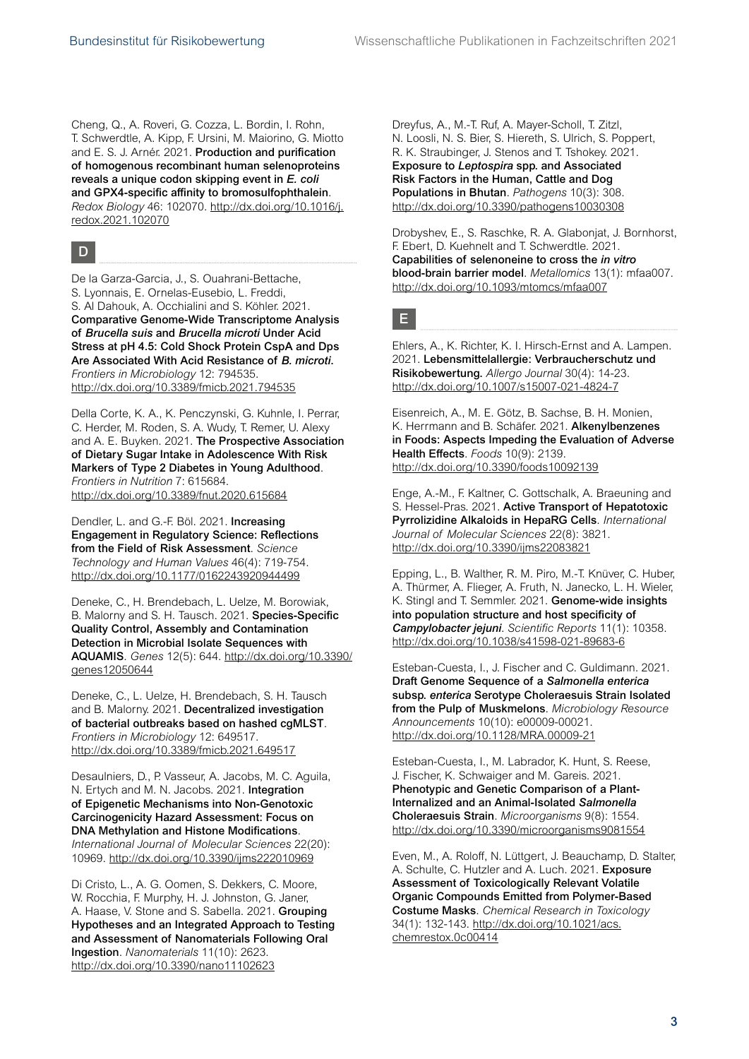Cheng, Q., A. Roveri, G. Cozza, L. Bordin, I. Rohn, T. Schwerdtle, A. Kipp, F. Ursini, M. Maiorino, G. Miotto and E. S. J. Arnér. 2021. Production and purification of homogenous recombinant human selenoproteins reveals a unique codon skipping event in *E. coli* and GPX4-specific affinity to bromosulfophthalein. *Redox Biology* 46: 102070. [http://dx.doi.org/10.1016/j.](http://dx.doi.org/10.1016/j.redox.2021.102070) [redox.2021.102070](http://dx.doi.org/10.1016/j.redox.2021.102070)

#### D

De la Garza-Garcia, J., S. Ouahrani-Bettache, S. Lyonnais, E. Ornelas-Eusebio, L. Freddi, S. Al Dahouk, A. Occhialini and S. Köhler. 2021. Comparative Genome-Wide Transcriptome Analysis of *Brucella suis* and *Brucella microti* Under Acid Stress at pH 4.5: Cold Shock Protein CspA and Dps Are Associated With Acid Resistance of *B. microti*. *Frontiers in Microbiology* 12: 794535. <http://dx.doi.org/10.3389/fmicb.2021.794535>

Della Corte, K. A., K. Penczynski, G. Kuhnle, I. Perrar, C. Herder, M. Roden, S. A. Wudy, T. Remer, U. Alexy and A. E. Buyken. 2021. The Prospective Association of Dietary Sugar Intake in Adolescence With Risk Markers of Type 2 Diabetes in Young Adulthood. *Frontiers in Nutrition* 7: 615684. <http://dx.doi.org/10.3389/fnut.2020.615684>

Dendler, L. and G.-F. Böl. 2021. Increasing Engagement in Regulatory Science: Reflections from the Field of Risk Assessment. *Science Technology and Human Values* 46(4): 719-754. <http://dx.doi.org/10.1177/0162243920944499>

Deneke, C., H. Brendebach, L. Uelze, M. Borowiak, B. Malorny and S. H. Tausch. 2021. Species-Specific Quality Control, Assembly and Contamination Detection in Microbial Isolate Sequences with AQUAMIS. *Genes* 12(5): 644. [http://dx.doi.org/10.3390/](http://dx.doi.org/10.3390/genes12050644) [genes12050644](http://dx.doi.org/10.3390/genes12050644)

Deneke, C., L. Uelze, H. Brendebach, S. H. Tausch and B. Malorny. 2021. Decentralized investigation of bacterial outbreaks based on hashed cgMLST. *Frontiers in Microbiology* 12: 649517. <http://dx.doi.org/10.3389/fmicb.2021.649517>

Desaulniers, D., P. Vasseur, A. Jacobs, M. C. Aguila, N. Ertych and M. N. Jacobs. 2021. Integration of Epigenetic Mechanisms into Non-Genotoxic Carcinogenicity Hazard Assessment: Focus on DNA Methylation and Histone Modifications.

*International Journal of Molecular Sciences* 22(20): 10969. <http://dx.doi.org/10.3390/ijms222010969>

Di Cristo, L., A. G. Oomen, S. Dekkers, C. Moore, W. Rocchia, F. Murphy, H. J. Johnston, G. Janer, A. Haase, V. Stone and S. Sabella. 2021. Grouping Hypotheses and an Integrated Approach to Testing and Assessment of Nanomaterials Following Oral Ingestion. *Nanomaterials* 11(10): 2623. <http://dx.doi.org/10.3390/nano11102623>

Dreyfus, A., M.-T. Ruf, A. Mayer-Scholl, T. Zitzl, N. Loosli, N. S. Bier, S. Hiereth, S. Ulrich, S. Poppert, R. K. Straubinger, J. Stenos and T. Tshokey. 2021. Exposure to *Leptospira* spp. and Associated Risk Factors in the Human, Cattle and Dog Populations in Bhutan. *Pathogens* 10(3): 308. <http://dx.doi.org/10.3390/pathogens10030308>

Drobyshev, E., S. Raschke, R. A. Glabonjat, J. Bornhorst, F. Ebert, D. Kuehnelt and T. Schwerdtle. 2021. Capabilities of selenoneine to cross the *in vitro* blood-brain barrier model. *Metallomics* 13(1): mfaa007. <http://dx.doi.org/10.1093/mtomcs/mfaa007>

E

Ehlers, A., K. Richter, K. I. Hirsch-Ernst and A. Lampen. 2021. Lebensmittelallergie: Verbraucherschutz und Risikobewertung. *Allergo Journal* 30(4): 14-23. <http://dx.doi.org/10.1007/s15007-021-4824-7>

Eisenreich, A., M. E. Götz, B. Sachse, B. H. Monien, K. Herrmann and B. Schäfer. 2021. Alkenylbenzenes in Foods: Aspects Impeding the Evaluation of Adverse Health Effects. *Foods* 10(9): 2139. <http://dx.doi.org/10.3390/foods10092139>

Enge, A.-M., F. Kaltner, C. Gottschalk, A. Braeuning and S. Hessel-Pras. 2021. Active Transport of Hepatotoxic Pyrrolizidine Alkaloids in HepaRG Cells. *International Journal of Molecular Sciences* 22(8): 3821. <http://dx.doi.org/10.3390/ijms22083821>

Epping, L., B. Walther, R. M. Piro, M.-T. Knüver, C. Huber, A. Thürmer, A. Flieger, A. Fruth, N. Janecko, L. H. Wieler, K. Stingl and T. Semmler. 2021. Genome-wide insights into population structure and host specificity of *Campylobacter jejuni*. *Scientific Reports* 11(1): 10358. <http://dx.doi.org/10.1038/s41598-021-89683-6>

Esteban-Cuesta, I., J. Fischer and C. Guldimann. 2021. Draft Genome Sequence of a *Salmonella enterica* subsp. *enterica* Serotype Choleraesuis Strain Isolated from the Pulp of Muskmelons. *Microbiology Resource Announcements* 10(10): e00009-00021. <http://dx.doi.org/10.1128/MRA.00009-21>

Esteban-Cuesta, I., M. Labrador, K. Hunt, S. Reese, J. Fischer, K. Schwaiger and M. Gareis. 2021. Phenotypic and Genetic Comparison of a Plant-Internalized and an Animal-Isolated *Salmonella* Choleraesuis Strain. *Microorganisms* 9(8): 1554. <http://dx.doi.org/10.3390/microorganisms9081554>

Even, M., A. Roloff, N. Lüttgert, J. Beauchamp, D. Stalter, A. Schulte, C. Hutzler and A. Luch. 2021. Exposure Assessment of Toxicologically Relevant Volatile Organic Compounds Emitted from Polymer-Based Costume Masks. *Chemical Research in Toxicology* 34(1): 132-143. [http://dx.doi.org/10.1021/acs.](http://dx.doi.org/10.1021/acs.chemrestox.0c00414) [chemrestox.0c00414](http://dx.doi.org/10.1021/acs.chemrestox.0c00414)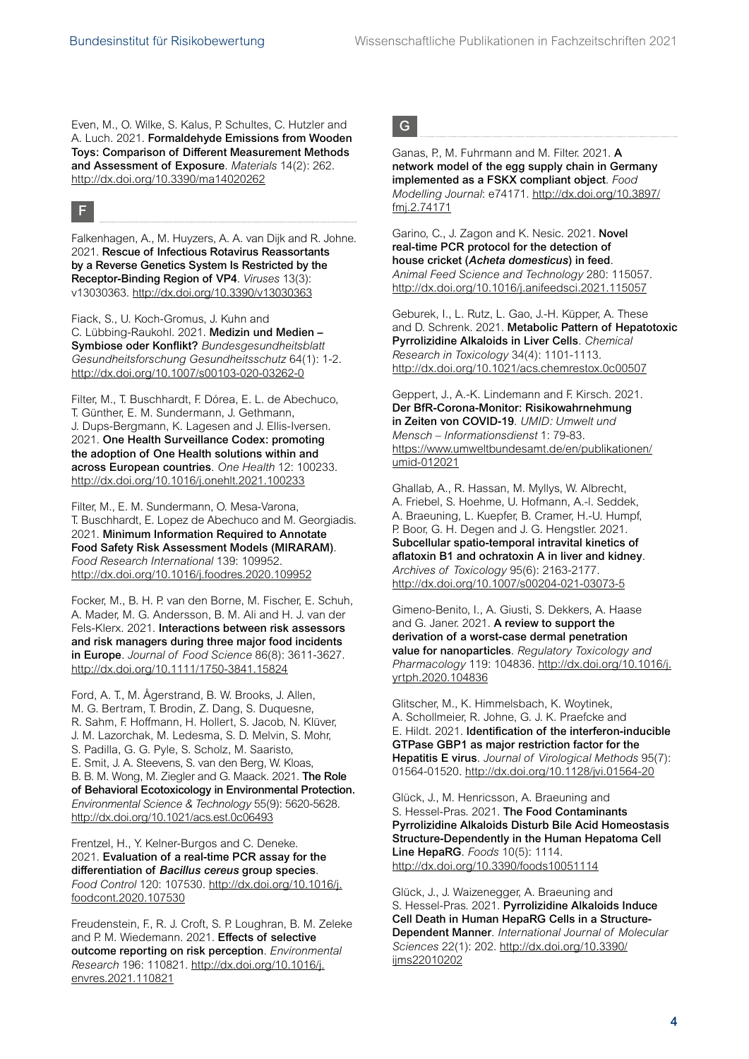Even, M., O. Wilke, S. Kalus, P. Schultes, C. Hutzler and A. Luch. 2021. Formaldehyde Emissions from Wooden Toys: Comparison of Different Measurement Methods and Assessment of Exposure. *Materials* 14(2): 262. <http://dx.doi.org/10.3390/ma14020262>

### F

Falkenhagen, A., M. Huyzers, A. A. van Dijk and R. Johne. 2021. Rescue of Infectious Rotavirus Reassortants by a Reverse Genetics System Is Restricted by the Receptor-Binding Region of VP4. *Viruses* 13(3): v13030363.<http://dx.doi.org/10.3390/v13030363>

Fiack, S., U. Koch-Gromus, J. Kuhn and C. Lübbing-Raukohl. 2021. Medizin und Medien – Symbiose oder Konflikt? *Bundesgesundheitsblatt Gesundheitsforschung Gesundheitsschutz* 64(1): 1-2. <http://dx.doi.org/10.1007/s00103-020-03262-0>

Filter, M., T. Buschhardt, F. Dórea, E. L. de Abechuco, T. Günther, E. M. Sundermann, J. Gethmann, J. Dups-Bergmann, K. Lagesen and J. Ellis-Iversen. 2021. One Health Surveillance Codex: promoting the adoption of One Health solutions within and across European countries. *One Health* 12: 100233. <http://dx.doi.org/10.1016/j.onehlt.2021.100233>

Filter, M., E. M. Sundermann, O. Mesa-Varona, T. Buschhardt, E. Lopez de Abechuco and M. Georgiadis. 2021. Minimum Information Required to Annotate Food Safety Risk Assessment Models (MIRARAM). *Food Research International* 139: 109952. <http://dx.doi.org/10.1016/j.foodres.2020.109952>

Focker, M., B. H. P. van den Borne, M. Fischer, E. Schuh, A. Mader, M. G. Andersson, B. M. Ali and H. J. van der Fels-Klerx. 2021. Interactions between risk assessors and risk managers during three major food incidents in Europe. *Journal of Food Science* 86(8): 3611-3627. <http://dx.doi.org/10.1111/1750-3841.15824>

Ford, A. T., M. Ågerstrand, B. W. Brooks, J. Allen, M. G. Bertram, T. Brodin, Z. Dang, S. Duquesne, R. Sahm, F. Hoffmann, H. Hollert, S. Jacob, N. Klüver, J. M. Lazorchak, M. Ledesma, S. D. Melvin, S. Mohr, S. Padilla, G. G. Pyle, S. Scholz, M. Saaristo, E. Smit, J. A. Steevens, S. van den Berg, W. Kloas, B. B. M. Wong, M. Ziegler and G. Maack. 2021. The Role of Behavioral Ecotoxicology in Environmental Protection. *Environmental Science & Technology* 55(9): 5620-5628. <http://dx.doi.org/10.1021/acs.est.0c06493>

Frentzel, H., Y. Kelner-Burgos and C. Deneke. 2021. Evaluation of a real-time PCR assay for the differentiation of *Bacillus cereus* group species. *Food Control* 120: 107530. [http://dx.doi.org/10.1016/j.](http://dx.doi.org/10.1016/j.foodcont.2020.107530) [foodcont.2020.107530](http://dx.doi.org/10.1016/j.foodcont.2020.107530)

Freudenstein, F., R. J. Croft, S. P. Loughran, B. M. Zeleke and P. M. Wiedemann. 2021. Effects of selective outcome reporting on risk perception. *Environmental Research* 196: 110821. [http://dx.doi.org/10.1016/j.](http://dx.doi.org/10.1016/j.envres.2021.110821) [envres.2021.110821](http://dx.doi.org/10.1016/j.envres.2021.110821)

G

Ganas, P., M. Fuhrmann and M. Filter. 2021. A network model of the egg supply chain in Germany implemented as a FSKX compliant object. *Food Modelling Journal*: e74171. [http://dx.doi.org/10.3897/](http://dx.doi.org/10.3897/fmj.2.74171) [fmj.2.74171](http://dx.doi.org/10.3897/fmj.2.74171)

Garino, C., J. Zagon and K. Nesic. 2021. Novel real-time PCR protocol for the detection of house cricket (*Acheta domesticus*) in feed. *Animal Feed Science and Technology* 280: 115057. <http://dx.doi.org/10.1016/j.anifeedsci.2021.115057>

Geburek, I., L. Rutz, L. Gao, J.-H. Küpper, A. These and D. Schrenk. 2021. Metabolic Pattern of Hepatotoxic Pyrrolizidine Alkaloids in Liver Cells. *Chemical Research in Toxicology* 34(4): 1101-1113. <http://dx.doi.org/10.1021/acs.chemrestox.0c00507>

Geppert, J., A.-K. Lindemann and F. Kirsch. 2021. Der BfR-Corona-Monitor: Risikowahrnehmung in Zeiten von COVID-19. *UMID: Umwelt und Mensch – Informationsdienst* 1: 79-83. [https://www.umweltbundesamt.de/en/publikationen/](https://www.umweltbundesamt.de/en/publikationen/umid-012021) [umid-012021](https://www.umweltbundesamt.de/en/publikationen/umid-012021)

Ghallab, A., R. Hassan, M. Myllys, W. Albrecht, A. Friebel, S. Hoehme, U. Hofmann, A.-l. Seddek, A. Braeuning, L. Kuepfer, B. Cramer, H.-U. Humpf, P. Boor, G. H. Degen and J. G. Hengstler. 2021. Subcellular spatio-temporal intravital kinetics of aflatoxin B1 and ochratoxin A in liver and kidney. *Archives of Toxicology* 95(6): 2163-2177. <http://dx.doi.org/10.1007/s00204-021-03073-5>

Gimeno-Benito, I., A. Giusti, S. Dekkers, A. Haase and G. Janer. 2021. A review to support the derivation of a worst-case dermal penetration value for nanoparticles. *Regulatory Toxicology and Pharmacology* 119: 104836. [http://dx.doi.org/10.1016/j.](http://dx.doi.org/10.1016/j.yrtph.2020.104836) [yrtph.2020.104836](http://dx.doi.org/10.1016/j.yrtph.2020.104836)

Glitscher, M., K. Himmelsbach, K. Woytinek, A. Schollmeier, R. Johne, G. J. K. Praefcke and E. Hildt. 2021. Identification of the interferon-inducible GTPase GBP1 as major restriction factor for the Hepatitis E virus. *Journal of Virological Methods* 95(7): 01564-01520. <http://dx.doi.org/10.1128/jvi.01564-20>

Glück, J., M. Henricsson, A. Braeuning and S. Hessel-Pras. 2021. The Food Contaminants Pyrrolizidine Alkaloids Disturb Bile Acid Homeostasis Structure-Dependently in the Human Hepatoma Cell Line HepaRG. *Foods* 10(5): 1114. <http://dx.doi.org/10.3390/foods10051114>

Glück, J., J. Waizenegger, A. Braeuning and S. Hessel-Pras. 2021. Pyrrolizidine Alkaloids Induce Cell Death in Human HepaRG Cells in a Structure-Dependent Manner. *International Journal of Molecular Sciences* 22(1): 202. [http://dx.doi.org/10.3390/](http://dx.doi.org/10.3390/ijms22010202) iims22010202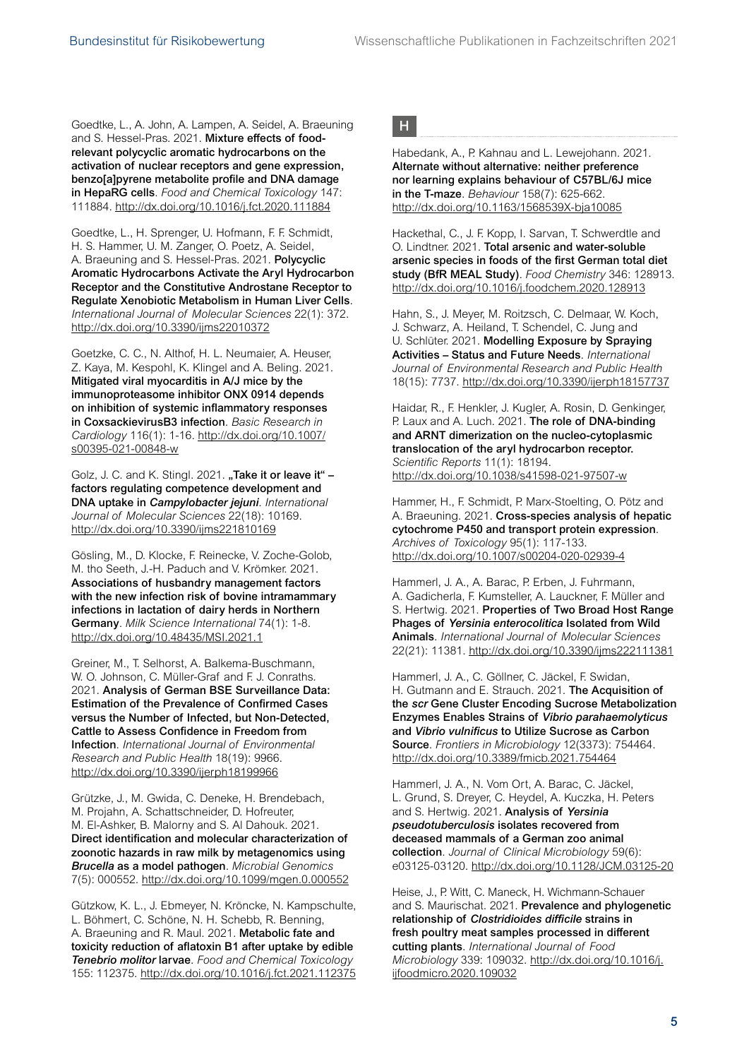Goedtke, L., A. John, A. Lampen, A. Seidel, A. Braeuning and S. Hessel-Pras. 2021. Mixture effects of foodrelevant polycyclic aromatic hydrocarbons on the activation of nuclear receptors and gene expression, benzo[a]pyrene metabolite profile and DNA damage in HepaRG cells. *Food and Chemical Toxicology* 147: 111884. <http://dx.doi.org/10.1016/j.fct.2020.111884>

Goedtke, L., H. Sprenger, U. Hofmann, F. F. Schmidt, H. S. Hammer, U. M. Zanger, O. Poetz, A. Seidel, A. Braeuning and S. Hessel-Pras. 2021. Polycyclic Aromatic Hydrocarbons Activate the Aryl Hydrocarbon Receptor and the Constitutive Androstane Receptor to Regulate Xenobiotic Metabolism in Human Liver Cells. *International Journal of Molecular Sciences* 22(1): 372. <http://dx.doi.org/10.3390/ijms22010372>

Goetzke, C. C., N. Althof, H. L. Neumaier, A. Heuser, Z. Kaya, M. Kespohl, K. Klingel and A. Beling. 2021. Mitigated viral myocarditis in A/J mice by the immunoproteasome inhibitor ONX 0914 depends on inhibition of systemic inflammatory responses in CoxsackievirusB3 infection. *Basic Research in Cardiology* 116(1): 1-16. [http://dx.doi.org/10.1007/](http://dx.doi.org/10.1007/s00395-021-00848-w) [s00395-021-00848-w](http://dx.doi.org/10.1007/s00395-021-00848-w)

Golz, J. C. and K. Stingl. 2021. "Take it or leave it" factors regulating competence development and DNA uptake in *Campylobacter jejuni*. *International Journal of Molecular Sciences* 22(18): 10169. <http://dx.doi.org/10.3390/ijms221810169>

Gösling, M., D. Klocke, F. Reinecke, V. Zoche-Golob, M. tho Seeth, J.-H. Paduch and V. Krömker. 2021. Associations of husbandry management factors with the new infection risk of bovine intramammary infections in lactation of dairy herds in Northern Germany. *Milk Science International* 74(1): 1-8. <http://dx.doi.org/10.48435/MSI.2021.1>

Greiner, M., T. Selhorst, A. Balkema-Buschmann, W. O. Johnson, C. Müller-Graf and F. J. Conraths. 2021. Analysis of German BSE Surveillance Data: Estimation of the Prevalence of Confirmed Cases versus the Number of Infected, but Non-Detected, Cattle to Assess Confidence in Freedom from Infection. *International Journal of Environmental Research and Public Health* 18(19): 9966. <http://dx.doi.org/10.3390/ijerph18199966>

Grützke, J., M. Gwida, C. Deneke, H. Brendebach, M. Projahn, A. Schattschneider, D. Hofreuter, M. El-Ashker, B. Malorny and S. Al Dahouk. 2021. Direct identification and molecular characterization of zoonotic hazards in raw milk by metagenomics using *Brucella* as a model pathogen. *Microbial Genomics* 7(5): 000552. <http://dx.doi.org/10.1099/mgen.0.000552>

Gützkow, K. L., J. Ebmeyer, N. Kröncke, N. Kampschulte, L. Böhmert, C. Schöne, N. H. Schebb, R. Benning, A. Braeuning and R. Maul. 2021. Metabolic fate and toxicity reduction of aflatoxin B1 after uptake by edible *Tenebrio molitor* larvae. *Food and Chemical Toxicology* 155: 112375. <http://dx.doi.org/10.1016/j.fct.2021.112375> H

Habedank, A., P. Kahnau and L. Lewejohann. 2021. Alternate without alternative: neither preference nor learning explains behaviour of C57BL/6J mice in the T-maze. *Behaviour* 158(7): 625-662. <http://dx.doi.org/10.1163/1568539X-bja10085>

Hackethal, C., J. F. Kopp, I. Sarvan, T. Schwerdtle and O. Lindtner. 2021. Total arsenic and water-soluble arsenic species in foods of the first German total diet study (BfR MEAL Study). *Food Chemistry* 346: 128913. <http://dx.doi.org/10.1016/j.foodchem.2020.128913>

Hahn, S., J. Meyer, M. Roitzsch, C. Delmaar, W. Koch, J. Schwarz, A. Heiland, T. Schendel, C. Jung and U. Schlüter. 2021. Modelling Exposure by Spraying Activities – Status and Future Needs. *International Journal of Environmental Research and Public Health* 18(15): 7737. <http://dx.doi.org/10.3390/ijerph18157737>

Haidar, R., F. Henkler, J. Kugler, A. Rosin, D. Genkinger, P. Laux and A. Luch. 2021. The role of DNA-binding and ARNT dimerization on the nucleo-cytoplasmic translocation of the aryl hydrocarbon receptor. *Scientific Reports* 11(1): 18194. <http://dx.doi.org/10.1038/s41598-021-97507-w>

Hammer, H., F. Schmidt, P. Marx-Stoelting, O. Pötz and A. Braeuning. 2021. Cross-species analysis of hepatic cytochrome P450 and transport protein expression. *Archives of Toxicology* 95(1): 117-133. <http://dx.doi.org/10.1007/s00204-020-02939-4>

Hammerl, J. A., A. Barac, P. Erben, J. Fuhrmann, A. Gadicherla, F. Kumsteller, A. Lauckner, F. Müller and S. Hertwig. 2021. Properties of Two Broad Host Range Phages of *Yersinia enterocolitica* Isolated from Wild Animals. *International Journal of Molecular Sciences* 22(21): 11381. <http://dx.doi.org/10.3390/ijms222111381>

Hammerl, J. A., C. Göllner, C. Jäckel, F. Swidan, H. Gutmann and E. Strauch. 2021. The Acquisition of the *scr* Gene Cluster Encoding Sucrose Metabolization Enzymes Enables Strains of *Vibrio parahaemolyticus* and *Vibrio vulnificus* to Utilize Sucrose as Carbon Source. *Frontiers in Microbiology* 12(3373): 754464. <http://dx.doi.org/10.3389/fmicb.2021.754464>

Hammerl, J. A., N. Vom Ort, A. Barac, C. Jäckel, L. Grund, S. Dreyer, C. Heydel, A. Kuczka, H. Peters and S. Hertwig. 2021. Analysis of *Yersinia pseudotuberculosis* isolates recovered from deceased mammals of a German zoo animal collection. *Journal of Clinical Microbiology* 59(6): e03125-03120. <http://dx.doi.org/10.1128/JCM.03125-20>

Heise, J., P. Witt, C. Maneck, H. Wichmann-Schauer and S. Maurischat. 2021. Prevalence and phylogenetic relationship of *Clostridioides difficile* strains in fresh poultry meat samples processed in different cutting plants. *International Journal of Food Microbiology* 339: 109032. [http://dx.doi.org/10.1016/j.](http://dx.doi.org/10.1016/j.ijfoodmicro.2020.109032) [ijfoodmicro.2020.109032](http://dx.doi.org/10.1016/j.ijfoodmicro.2020.109032)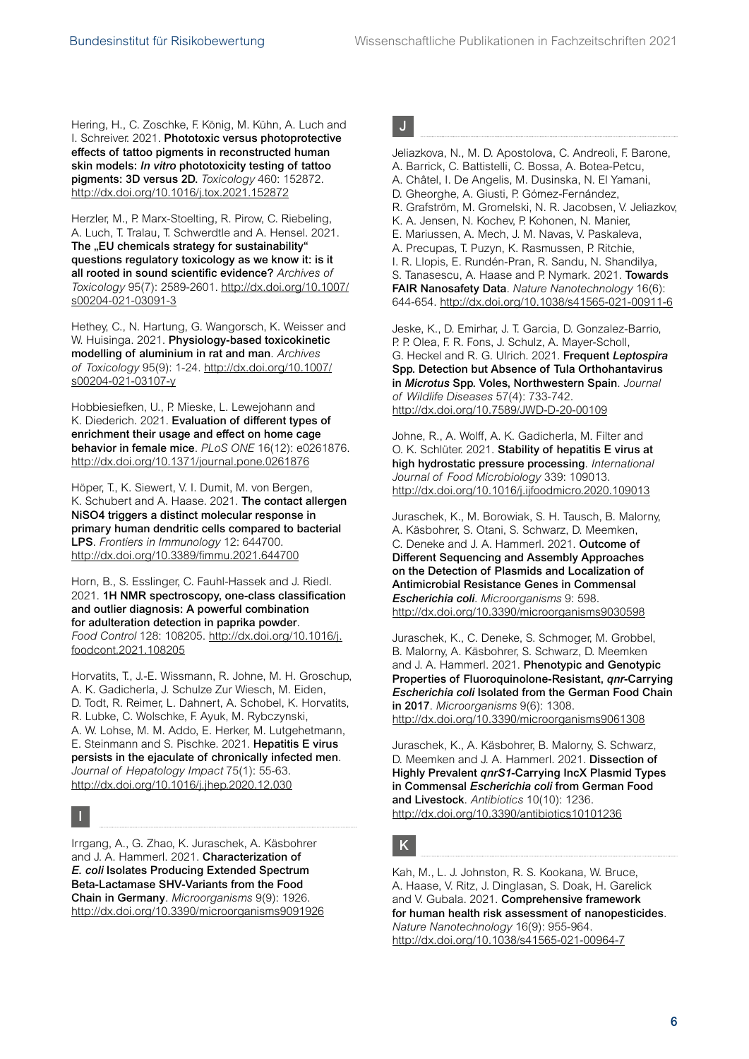Hering, H., C. Zoschke, F. König, M. Kühn, A. Luch and I. Schreiver. 2021. Phototoxic versus photoprotective effects of tattoo pigments in reconstructed human skin models: *In vitro* phototoxicity testing of tattoo pigments: 3D versus 2D. *Toxicology* 460: 152872. <http://dx.doi.org/10.1016/j.tox.2021.152872>

Herzler, M., P. Marx-Stoelting, R. Pirow, C. Riebeling, A. Luch, T. Tralau, T. Schwerdtle and A. Hensel. 2021. The "EU chemicals strategy for sustainability' questions regulatory toxicology as we know it: is it all rooted in sound scientific evidence? *Archives of Toxicology* 95(7): 2589-2601. [http://dx.doi.org/10.1007/](http://dx.doi.org/10.1007/s00204-021-03091-3) [s00204-021-03091-3](http://dx.doi.org/10.1007/s00204-021-03091-3)

Hethey, C., N. Hartung, G. Wangorsch, K. Weisser and W. Huisinga. 2021. Physiology-based toxicokinetic modelling of aluminium in rat and man. *Archives of Toxicology* 95(9): 1-24. [http://dx.doi.org/10.1007/](http://dx.doi.org/10.1007/s00204-021-03107-y) [s00204-021-03107-y](http://dx.doi.org/10.1007/s00204-021-03107-y)

Hobbiesiefken, U., P. Mieske, L. Lewejohann and K. Diederich. 2021. Evaluation of different types of enrichment their usage and effect on home cage behavior in female mice. *PLoS ONE* 16(12): e0261876. <http://dx.doi.org/10.1371/journal.pone.0261876>

Höper, T., K. Siewert, V. I. Dumit, M. von Bergen, K. Schubert and A. Haase. 2021. The contact allergen NiSO4 triggers a distinct molecular response in primary human dendritic cells compared to bacterial LPS. *Frontiers in Immunology* 12: 644700. <http://dx.doi.org/10.3389/fimmu.2021.644700>

Horn, B., S. Esslinger, C. Fauhl-Hassek and J. Riedl. 2021. 1H NMR spectroscopy, one-class classification and outlier diagnosis: A powerful combination for adulteration detection in paprika powder. *Food Control* 128: 108205. [http://dx.doi.org/10.1016/j.](http://dx.doi.org/10.1016/j.foodcont.2021.108205) [foodcont.2021.108205](http://dx.doi.org/10.1016/j.foodcont.2021.108205)

Horvatits, T., J.-E. Wissmann, R. Johne, M. H. Groschup, A. K. Gadicherla, J. Schulze Zur Wiesch, M. Eiden, D. Todt, R. Reimer, L. Dahnert, A. Schobel, K. Horvatits, R. Lubke, C. Wolschke, F. Ayuk, M. Rybczynski, A. W. Lohse, M. M. Addo, E. Herker, M. Lutgehetmann, E. Steinmann and S. Pischke. 2021. Hepatitis E virus persists in the ejaculate of chronically infected men. *Journal of Hepatology Impact* 75(1): 55-63. <http://dx.doi.org/10.1016/j.jhep.2020.12.030>



Irrgang, A., G. Zhao, K. Juraschek, A. Käsbohrer and J. A. Hammerl. 2021. Characterization of *E. coli* Isolates Producing Extended Spectrum Beta-Lactamase SHV-Variants from the Food Chain in Germany. *Microorganisms* 9(9): 1926. <http://dx.doi.org/10.3390/microorganisms9091926> J

Jeliazkova, N., M. D. Apostolova, C. Andreoli, F. Barone, A. Barrick, C. Battistelli, C. Bossa, A. Botea-Petcu, A. Châtel, I. De Angelis, M. Dusinska, N. El Yamani, D. Gheorghe, A. Giusti, P. Gómez-Fernández, R. Grafström, M. Gromelski, N. R. Jacobsen, V. Jeliazkov, K. A. Jensen, N. Kochev, P. Kohonen, N. Manier, E. Mariussen, A. Mech, J. M. Navas, V. Paskaleva, A. Precupas, T. Puzyn, K. Rasmussen, P. Ritchie, I. R. Llopis, E. Rundén-Pran, R. Sandu, N. Shandilya, S. Tanasescu, A. Haase and P. Nymark. 2021. Towards FAIR Nanosafety Data. *Nature Nanotechnology* 16(6): 644-654. <http://dx.doi.org/10.1038/s41565-021-00911-6>

Jeske, K., D. Emirhar, J. T. Garcia, D. Gonzalez-Barrio, P. P. Olea, F. R. Fons, J. Schulz, A. Mayer-Scholl, G. Heckel and R. G. Ulrich. 2021. Frequent *Leptospira* Spp. Detection but Absence of Tula Orthohantavirus in *Microtus* Spp. Voles, Northwestern Spain. *Journal of Wildlife Diseases* 57(4): 733-742. <http://dx.doi.org/10.7589/JWD-D-20-00109>

Johne, R., A. Wolff, A. K. Gadicherla, M. Filter and O. K. Schlüter. 2021. Stability of hepatitis E virus at high hydrostatic pressure processing. *International Journal of Food Microbiology* 339: 109013. <http://dx.doi.org/10.1016/j.ijfoodmicro.2020.109013>

Juraschek, K., M. Borowiak, S. H. Tausch, B. Malorny, A. Käsbohrer, S. Otani, S. Schwarz, D. Meemken, C. Deneke and J. A. Hammerl. 2021. Outcome of Different Sequencing and Assembly Approaches on the Detection of Plasmids and Localization of Antimicrobial Resistance Genes in Commensal *Escherichia coli*. *Microorganisms* 9: 598. <http://dx.doi.org/10.3390/microorganisms9030598>

Juraschek, K., C. Deneke, S. Schmoger, M. Grobbel, B. Malorny, A. Käsbohrer, S. Schwarz, D. Meemken and J. A. Hammerl. 2021. Phenotypic and Genotypic Properties of Fluoroquinolone-Resistant, *qnr*-Carrying *Escherichia coli* Isolated from the German Food Chain in 2017. *Microorganisms* 9(6): 1308. <http://dx.doi.org/10.3390/microorganisms9061308>

Juraschek, K., A. Käsbohrer, B. Malorny, S. Schwarz, D. Meemken and J. A. Hammerl. 2021. Dissection of Highly Prevalent *qnrS1*-Carrying IncX Plasmid Types in Commensal *Escherichia coli* from German Food and Livestock. *Antibiotics* 10(10): 1236. <http://dx.doi.org/10.3390/antibiotics10101236>



Kah, M., L. J. Johnston, R. S. Kookana, W. Bruce, A. Haase, V. Ritz, J. Dinglasan, S. Doak, H. Garelick and V. Gubala. 2021. Comprehensive framework for human health risk assessment of nanopesticides. *Nature Nanotechnology* 16(9): 955-964. <http://dx.doi.org/10.1038/s41565-021-00964-7>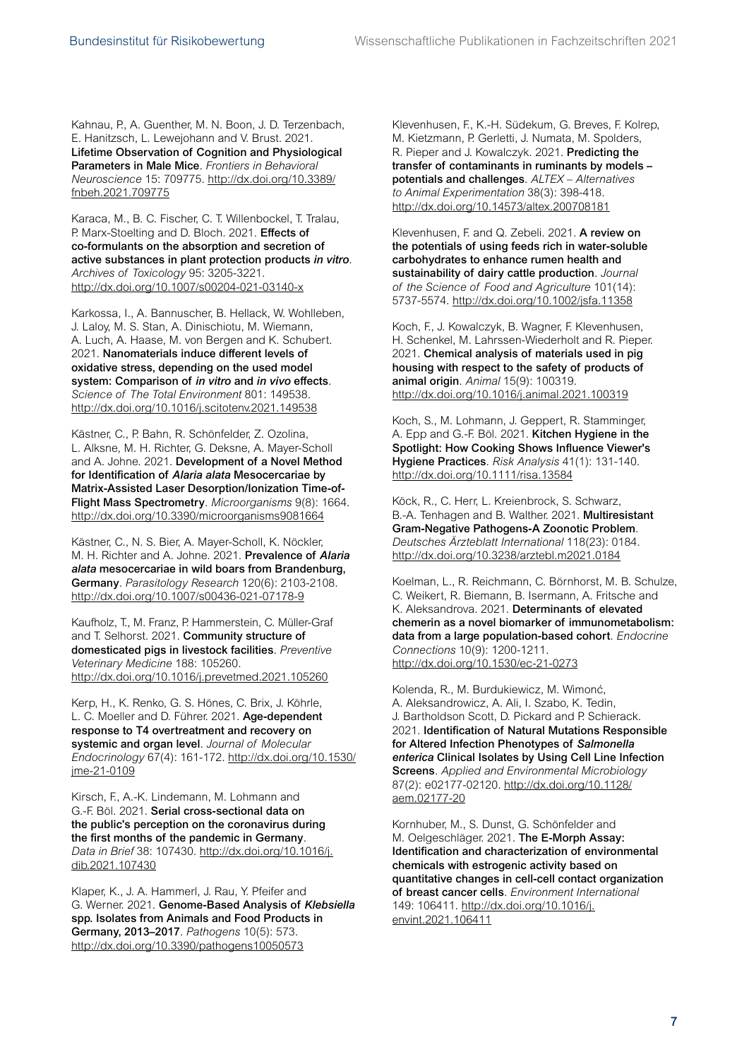Kahnau, P., A. Guenther, M. N. Boon, J. D. Terzenbach, E. Hanitzsch, L. Lewejohann and V. Brust. 2021. Lifetime Observation of Cognition and Physiological Parameters in Male Mice. *Frontiers in Behavioral Neuroscience* 15: 709775. [http://dx.doi.org/10.3389/](http://dx.doi.org/10.3389/fnbeh.2021.709775) [fnbeh.2021.709775](http://dx.doi.org/10.3389/fnbeh.2021.709775)

Karaca, M., B. C. Fischer, C. T. Willenbockel, T. Tralau, P. Marx-Stoelting and D. Bloch. 2021. Effects of co-formulants on the absorption and secretion of active substances in plant protection products *in vitro*. *Archives of Toxicology* 95: 3205-3221. <http://dx.doi.org/10.1007/s00204-021-03140-x>

Karkossa, I., A. Bannuscher, B. Hellack, W. Wohlleben, J. Laloy, M. S. Stan, A. Dinischiotu, M. Wiemann, A. Luch, A. Haase, M. von Bergen and K. Schubert. 2021. Nanomaterials induce different levels of oxidative stress, depending on the used model system: Comparison of *in vitro* and *in vivo* effects. *Science of The Total Environment* 801: 149538. <http://dx.doi.org/10.1016/j.scitotenv.2021.149538>

Kästner, C., P. Bahn, R. Schönfelder, Z. Ozolina, L. Alksne, M. H. Richter, G. Deksne, A. Mayer-Scholl and A. Johne. 2021. Development of a Novel Method for Identification of *Alaria alata* Mesocercariae by Matrix-Assisted Laser Desorption/Ionization Time-of-Flight Mass Spectrometry. *Microorganisms* 9(8): 1664. <http://dx.doi.org/10.3390/microorganisms9081664>

Kästner, C., N. S. Bier, A. Mayer-Scholl, K. Nöckler, M. H. Richter and A. Johne. 2021. Prevalence of *Alaria alata* mesocercariae in wild boars from Brandenburg, Germany. *Parasitology Research* 120(6): 2103-2108. <http://dx.doi.org/10.1007/s00436-021-07178-9>

Kaufholz, T., M. Franz, P. Hammerstein, C. Müller-Graf and T. Selhorst. 2021. Community structure of domesticated pigs in livestock facilities. *Preventive Veterinary Medicine* 188: 105260. <http://dx.doi.org/10.1016/j.prevetmed.2021.105260>

Kerp, H., K. Renko, G. S. Hönes, C. Brix, J. Köhrle, L. C. Moeller and D. Führer. 2021. Age-dependent response to T4 overtreatment and recovery on systemic and organ level. *Journal of Molecular Endocrinology* 67(4): 161-172. [http://dx.doi.org/10.1530/](http://dx.doi.org/10.1530/jme-21-0109) [jme-21-0109](http://dx.doi.org/10.1530/jme-21-0109)

Kirsch, F., A.-K. Lindemann, M. Lohmann and G.-F. Böl. 2021. Serial cross-sectional data on the public's perception on the coronavirus during the first months of the pandemic in Germany. *Data in Brief* 38: 107430. [http://dx.doi.org/10.1016/j.](http://dx.doi.org/10.1016/j.dib.2021.107430) [dib.2021.107430](http://dx.doi.org/10.1016/j.dib.2021.107430)

Klaper, K., J. A. Hammerl, J. Rau, Y. Pfeifer and G. Werner. 2021. Genome-Based Analysis of *Klebsiella* spp. Isolates from Animals and Food Products in Germany, 2013–2017. *Pathogens* 10(5): 573. <http://dx.doi.org/10.3390/pathogens10050573>

Klevenhusen, F., K.-H. Südekum, G. Breves, F. Kolrep, M. Kietzmann, P. Gerletti, J. Numata, M. Spolders, R. Pieper and J. Kowalczyk. 2021. Predicting the transfer of contaminants in ruminants by models – potentials and challenges. *ALTEX – Alternatives to Animal Experimentation* 38(3): 398-418. <http://dx.doi.org/10.14573/altex.200708181>

Klevenhusen, F. and Q. Zebeli. 2021. A review on the potentials of using feeds rich in water-soluble carbohydrates to enhance rumen health and sustainability of dairy cattle production. *Journal of the Science of Food and Agriculture* 101(14): 5737-5574. <http://dx.doi.org/10.1002/jsfa.11358>

Koch, F., J. Kowalczyk, B. Wagner, F. Klevenhusen, H. Schenkel, M. Lahrssen-Wiederholt and R. Pieper. 2021. Chemical analysis of materials used in pig housing with respect to the safety of products of animal origin. *Animal* 15(9): 100319. <http://dx.doi.org/10.1016/j.animal.2021.100319>

Koch, S., M. Lohmann, J. Geppert, R. Stamminger, A. Epp and G.-F. Böl. 2021. Kitchen Hygiene in the Spotlight: How Cooking Shows Influence Viewer's Hygiene Practices. *Risk Analysis* 41(1): 131-140. <http://dx.doi.org/10.1111/risa.13584>

Köck, R., C. Herr, L. Kreienbrock, S. Schwarz, B.-A. Tenhagen and B. Walther. 2021. Multiresistant Gram-Negative Pathogens-A Zoonotic Problem. *Deutsches Ärzteblatt International* 118(23): 0184. <http://dx.doi.org/10.3238/arztebl.m2021.0184>

Koelman, L., R. Reichmann, C. Börnhorst, M. B. Schulze, C. Weikert, R. Biemann, B. Isermann, A. Fritsche and K. Aleksandrova. 2021. Determinants of elevated chemerin as a novel biomarker of immunometabolism: data from a large population-based cohort. *Endocrine Connections* 10(9): 1200-1211. <http://dx.doi.org/10.1530/ec-21-0273>

Kolenda, R., M. Burdukiewicz, M. Wimonć, A. Aleksandrowicz, A. Ali, I. Szabo, K. Tedin, J. Bartholdson Scott, D. Pickard and P. Schierack. 2021. Identification of Natural Mutations Responsible for Altered Infection Phenotypes of *Salmonella enterica* Clinical Isolates by Using Cell Line Infection Screens. *Applied and Environmental Microbiology* 87(2): e02177-02120. [http://dx.doi.org/10.1128/](http://dx.doi.org/10.1128/aem.02177-20) [aem.02177-20](http://dx.doi.org/10.1128/aem.02177-20)

Kornhuber, M., S. Dunst, G. Schönfelder and M. Oelgeschläger. 2021. The E-Morph Assay: Identification and characterization of environmental chemicals with estrogenic activity based on quantitative changes in cell-cell contact organization of breast cancer cells. *Environment International* 149: 106411. [http://dx.doi.org/10.1016/j.](http://dx.doi.org/10.1016/j.envint.2021.106411) [envint.2021.106411](http://dx.doi.org/10.1016/j.envint.2021.106411)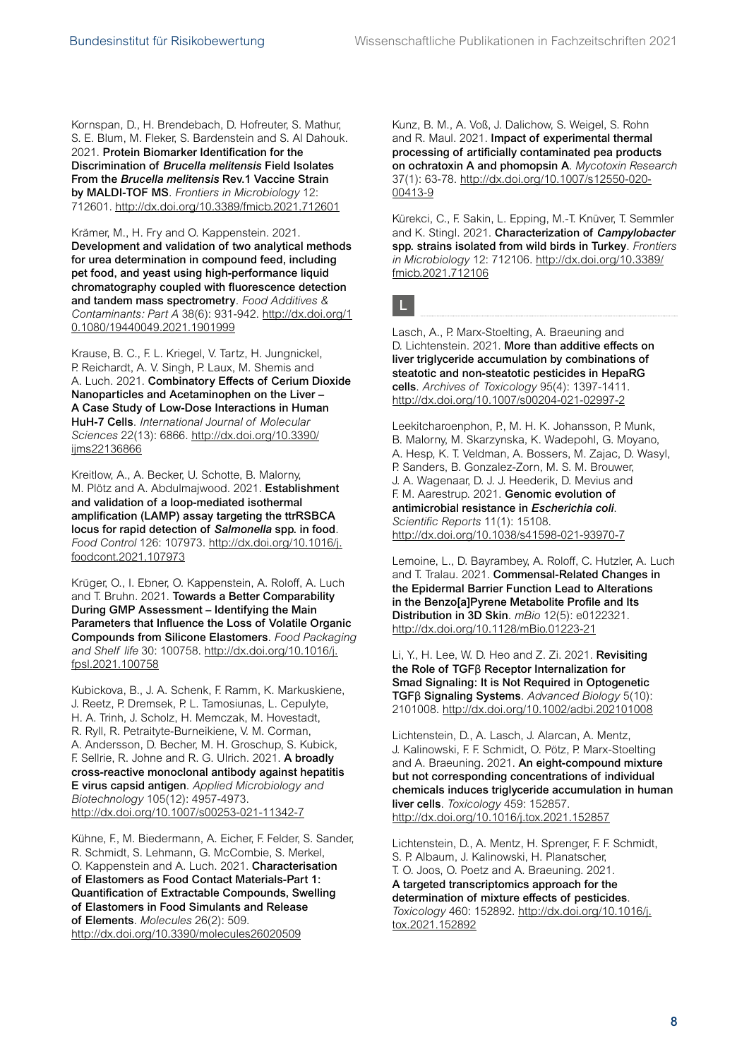Kornspan, D., H. Brendebach, D. Hofreuter, S. Mathur, S. E. Blum, M. Fleker, S. Bardenstein and S. Al Dahouk. 2021. Protein Biomarker Identification for the Discrimination of *Brucella melitensis* Field Isolates From the *Brucella melitensis* Rev.1 Vaccine Strain by MALDI-TOF MS. *Frontiers in Microbiology* 12: 712601. <http://dx.doi.org/10.3389/fmicb.2021.712601>

Krämer, M., H. Fry and O. Kappenstein. 2021. Development and validation of two analytical methods for urea determination in compound feed, including pet food, and yeast using high-performance liquid chromatography coupled with fluorescence detection and tandem mass spectrometry. *Food Additives & Contaminants: Part A* 38(6): 931-942. [http://dx.doi.org/1](http://dx.doi.org/10.1080/19440049.2021.1901999) [0.1080/19440049.2021.1901999](http://dx.doi.org/10.1080/19440049.2021.1901999)

Krause, B. C., F. L. Kriegel, V. Tartz, H. Jungnickel, P. Reichardt, A. V. Singh, P. Laux, M. Shemis and A. Luch. 2021. Combinatory Effects of Cerium Dioxide Nanoparticles and Acetaminophen on the Liver – A Case Study of Low-Dose Interactions in Human HuH-7 Cells. *International Journal of Molecular Sciences* 22(13): 6866. [http://dx.doi.org/10.3390/](http://dx.doi.org/10.3390/ijms22136866) iims22136866

Kreitlow, A., A. Becker, U. Schotte, B. Malorny, M. Plötz and A. Abdulmajwood. 2021. Establishment and validation of a loop-mediated isothermal amplification (LAMP) assay targeting the ttrRSBCA locus for rapid detection of *Salmonella* spp. in food. *Food Control* 126: 107973. [http://dx.doi.org/10.1016/j.](http://dx.doi.org/10.1016/j.foodcont.2021.107973) [foodcont.2021.107973](http://dx.doi.org/10.1016/j.foodcont.2021.107973)

Krüger, O., I. Ebner, O. Kappenstein, A. Roloff, A. Luch and T. Bruhn. 2021. Towards a Better Comparability During GMP Assessment – Identifying the Main Parameters that Influence the Loss of Volatile Organic Compounds from Silicone Elastomers. *Food Packaging and Shelf life* 30: 100758. [http://dx.doi.org/10.1016/j.](http://dx.doi.org/10.1016/j.fpsl.2021.100758) [fpsl.2021.100758](http://dx.doi.org/10.1016/j.fpsl.2021.100758)

Kubickova, B., J. A. Schenk, F. Ramm, K. Markuskiene, J. Reetz, P. Dremsek, P. L. Tamosiunas, L. Cepulyte, H. A. Trinh, J. Scholz, H. Memczak, M. Hovestadt, R. Ryll, R. Petraityte-Burneikiene, V. M. Corman, A. Andersson, D. Becher, M. H. Groschup, S. Kubick, F. Sellrie, R. Johne and R. G. Ulrich. 2021. A broadly cross-reactive monoclonal antibody against hepatitis E virus capsid antigen. *Applied Microbiology and Biotechnology* 105(12): 4957-4973. <http://dx.doi.org/10.1007/s00253-021-11342-7>

Kühne, F., M. Biedermann, A. Eicher, F. Felder, S. Sander, R. Schmidt, S. Lehmann, G. McCombie, S. Merkel, O. Kappenstein and A. Luch. 2021. Characterisation of Elastomers as Food Contact Materials-Part 1: Quantification of Extractable Compounds, Swelling of Elastomers in Food Simulants and Release of Elements. *Molecules* 26(2): 509. <http://dx.doi.org/10.3390/molecules26020509>

Kunz, B. M., A. Voß, J. Dalichow, S. Weigel, S. Rohn and R. Maul. 2021. Impact of experimental thermal processing of artificially contaminated pea products on ochratoxin A and phomopsin A. *Mycotoxin Research* 37(1): 63-78. [http://dx.doi.org/10.1007/s12550-020-](http://dx.doi.org/10.1007/s12550-020-00413-9) [00413-9](http://dx.doi.org/10.1007/s12550-020-00413-9)

Kürekci, C., F. Sakin, L. Epping, M.-T. Knüver, T. Semmler and K. Stingl. 2021. Characterization of *Campylobacter*  spp. strains isolated from wild birds in Turkey. *Frontiers in Microbiology* 12: 712106. [http://dx.doi.org/10.3389/](http://dx.doi.org/10.3389/fmicb.2021.712106) [fmicb.2021.712106](http://dx.doi.org/10.3389/fmicb.2021.712106)



Lasch, A., P. Marx-Stoelting, A. Braeuning and D. Lichtenstein. 2021. More than additive effects on liver triglyceride accumulation by combinations of steatotic and non-steatotic pesticides in HepaRG cells. *Archives of Toxicology* 95(4): 1397-1411. <http://dx.doi.org/10.1007/s00204-021-02997-2>

Leekitcharoenphon, P., M. H. K. Johansson, P. Munk, B. Malorny, M. Skarzynska, K. Wadepohl, G. Moyano, A. Hesp, K. T. Veldman, A. Bossers, M. Zajac, D. Wasyl, P. Sanders, B. Gonzalez-Zorn, M. S. M. Brouwer, J. A. Wagenaar, D. J. J. Heederik, D. Mevius and F. M. Aarestrup. 2021. Genomic evolution of antimicrobial resistance in *Escherichia coli*. *Scientific Reports* 11(1): 15108. <http://dx.doi.org/10.1038/s41598-021-93970-7>

Lemoine, L., D. Bayrambey, A. Roloff, C. Hutzler, A. Luch and T. Tralau. 2021. Commensal-Related Changes in the Epidermal Barrier Function Lead to Alterations in the Benzo[a]Pyrene Metabolite Profile and Its Distribution in 3D Skin. *mBio* 12(5): e0122321. <http://dx.doi.org/10.1128/mBio.01223-21>

Li, Y., H. Lee, W. D. Heo and Z. Zi. 2021. Revisiting the Role of TGFβ Receptor Internalization for Smad Signaling: It is Not Required in Optogenetic TGFβ Signaling Systems. *Advanced Biology* 5(10): 2101008. <http://dx.doi.org/10.1002/adbi.202101008>

Lichtenstein, D., A. Lasch, J. Alarcan, A. Mentz, J. Kalinowski, F. F. Schmidt, O. Pötz, P. Marx-Stoelting and A. Braeuning. 2021. An eight-compound mixture but not corresponding concentrations of individual chemicals induces triglyceride accumulation in human liver cells. *Toxicology* 459: 152857. <http://dx.doi.org/10.1016/j.tox.2021.152857>

Lichtenstein, D., A. Mentz, H. Sprenger, F. F. Schmidt, S. P. Albaum, J. Kalinowski, H. Planatscher, T. O. Joos, O. Poetz and A. Braeuning. 2021. A targeted transcriptomics approach for the determination of mixture effects of pesticides. *Toxicology* 460: 152892. [http://dx.doi.org/10.1016/j.](http://dx.doi.org/10.1016/j.tox.2021.152892) [tox.2021.152892](http://dx.doi.org/10.1016/j.tox.2021.152892)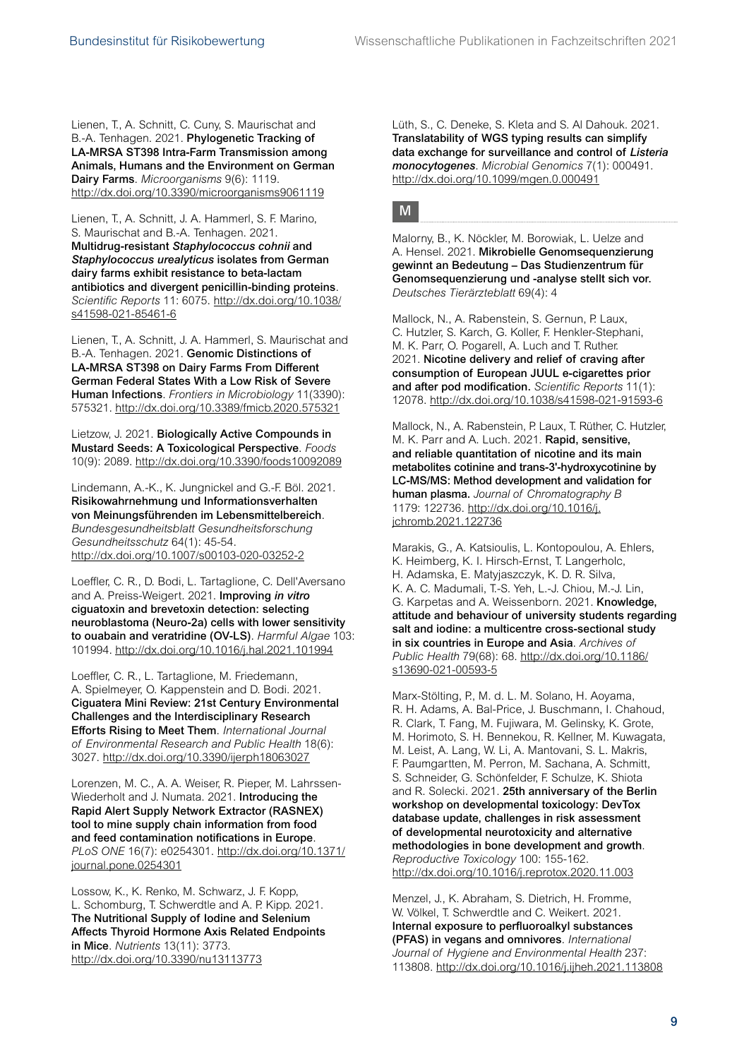Lienen, T., A. Schnitt, C. Cuny, S. Maurischat and B.-A. Tenhagen. 2021. Phylogenetic Tracking of LA-MRSA ST398 Intra-Farm Transmission among Animals, Humans and the Environment on German Dairy Farms. *Microorganisms* 9(6): 1119. <http://dx.doi.org/10.3390/microorganisms9061119>

Lienen, T., A. Schnitt, J. A. Hammerl, S. F. Marino, S. Maurischat and B.-A. Tenhagen. 2021. Multidrug-resistant *Staphylococcus cohnii* and *Staphylococcus urealyticus* isolates from German dairy farms exhibit resistance to beta-lactam antibiotics and divergent penicillin-binding proteins. *Scientific Reports* 11: 6075. [http://dx.doi.org/10.1038/](http://dx.doi.org/10.1038/s41598-021-85461-6) [s41598-021-85461-6](http://dx.doi.org/10.1038/s41598-021-85461-6)

Lienen, T., A. Schnitt, J. A. Hammerl, S. Maurischat and B.-A. Tenhagen. 2021. Genomic Distinctions of LA-MRSA ST398 on Dairy Farms From Different German Federal States With a Low Risk of Severe Human Infections. *Frontiers in Microbiology* 11(3390): 575321. <http://dx.doi.org/10.3389/fmicb.2020.575321>

Lietzow, J. 2021. Biologically Active Compounds in Mustard Seeds: A Toxicological Perspective. *Foods* 10(9): 2089. <http://dx.doi.org/10.3390/foods10092089>

Lindemann, A.-K., K. Jungnickel and G.-F. Böl. 2021. Risikowahrnehmung und Informationsverhalten von Meinungsführenden im Lebensmittelbereich. *Bundesgesundheitsblatt Gesundheitsforschung Gesundheitsschutz* 64(1): 45-54. <http://dx.doi.org/10.1007/s00103-020-03252-2>

Loeffler, C. R., D. Bodi, L. Tartaglione, C. Dell'Aversano and A. Preiss-Weigert. 2021. Improving *in vitro* ciguatoxin and brevetoxin detection: selecting neuroblastoma (Neuro-2a) cells with lower sensitivity to ouabain and veratridine (OV-LS). *Harmful Algae* 103: 101994. <http://dx.doi.org/10.1016/j.hal.2021.101994>

Loeffler, C. R., L. Tartaglione, M. Friedemann, A. Spielmeyer, O. Kappenstein and D. Bodi. 2021. Ciguatera Mini Review: 21st Century Environmental Challenges and the Interdisciplinary Research Efforts Rising to Meet Them. *International Journal of Environmental Research and Public Health* 18(6): 3027. <http://dx.doi.org/10.3390/ijerph18063027>

Lorenzen, M. C., A. A. Weiser, R. Pieper, M. Lahrssen-Wiederholt and J. Numata. 2021. Introducing the Rapid Alert Supply Network Extractor (RASNEX) tool to mine supply chain information from food and feed contamination notifications in Europe. *PLoS ONE* 16(7): e0254301. [http://dx.doi.org/10.1371/](http://dx.doi.org/10.1371/journal.pone.0254301) [journal.pone.0254301](http://dx.doi.org/10.1371/journal.pone.0254301)

Lossow, K., K. Renko, M. Schwarz, J. F. Kopp, L. Schomburg, T. Schwerdtle and A. P. Kipp. 2021. The Nutritional Supply of Iodine and Selenium Affects Thyroid Hormone Axis Related Endpoints in Mice. *Nutrients* 13(11): 3773. <http://dx.doi.org/10.3390/nu13113773>

Lüth, S., C. Deneke, S. Kleta and S. Al Dahouk. 2021. Translatability of WGS typing results can simplify data exchange for surveillance and control of *Listeria monocytogenes*. *Microbial Genomics* 7(1): 000491. <http://dx.doi.org/10.1099/mgen.0.000491>



Malorny, B., K. Nöckler, M. Borowiak, L. Uelze and A. Hensel. 2021. Mikrobielle Genomsequenzierung gewinnt an Bedeutung – Das Studienzentrum für Genomsequenzierung und -analyse stellt sich vor. *Deutsches Tierärzteblatt* 69(4): 4

Mallock, N., A. Rabenstein, S. Gernun, P. Laux, C. Hutzler, S. Karch, G. Koller, F. Henkler-Stephani, M. K. Parr, O. Pogarell, A. Luch and T. Ruther. 2021. Nicotine delivery and relief of craving after consumption of European JUUL e-cigarettes prior and after pod modification. *Scientific Reports* 11(1): 12078. <http://dx.doi.org/10.1038/s41598-021-91593-6>

Mallock, N., A. Rabenstein, P. Laux, T. Rüther, C. Hutzler, M. K. Parr and A. Luch. 2021. Rapid, sensitive, and reliable quantitation of nicotine and its main metabolites cotinine and trans-3'-hydroxycotinine by LC-MS/MS: Method development and validation for human plasma. *Journal of Chromatography B* 1179: 122736. [http://dx.doi.org/10.1016/j.](http://dx.doi.org/10.1016/j.jchromb.2021.122736) [jchromb.2021.122736](http://dx.doi.org/10.1016/j.jchromb.2021.122736)

Marakis, G., A. Katsioulis, L. Kontopoulou, A. Ehlers, K. Heimberg, K. I. Hirsch-Ernst, T. Langerholc, H. Adamska, E. Matyjaszczyk, K. D. R. Silva, K. A. C. Madumali, T.-S. Yeh, L.-J. Chiou, M.-J. Lin, G. Karpetas and A. Weissenborn. 2021. Knowledge, attitude and behaviour of university students regarding salt and iodine: a multicentre cross-sectional study in six countries in Europe and Asia. *Archives of Public Health* 79(68): 68. [http://dx.doi.org/10.1186/](http://dx.doi.org/10.1186/s13690-021-00593-5) [s13690-021-00593-5](http://dx.doi.org/10.1186/s13690-021-00593-5)

Marx-Stölting, P., M. d. L. M. Solano, H. Aoyama, R. H. Adams, A. Bal-Price, J. Buschmann, I. Chahoud, R. Clark, T. Fang, M. Fujiwara, M. Gelinsky, K. Grote, M. Horimoto, S. H. Bennekou, R. Kellner, M. Kuwagata, M. Leist, A. Lang, W. Li, A. Mantovani, S. L. Makris, F. Paumgartten, M. Perron, M. Sachana, A. Schmitt, S. Schneider, G. Schönfelder, F. Schulze, K. Shiota and R. Solecki. 2021. 25th anniversary of the Berlin workshop on developmental toxicology: DevTox database update, challenges in risk assessment of developmental neurotoxicity and alternative methodologies in bone development and growth. *Reproductive Toxicology* 100: 155-162. <http://dx.doi.org/10.1016/j.reprotox.2020.11.003>

Menzel, J., K. Abraham, S. Dietrich, H. Fromme, W. Völkel, T. Schwerdtle and C. Weikert. 2021. Internal exposure to perfluoroalkyl substances (PFAS) in vegans and omnivores. *International Journal of Hygiene and Environmental Health* 237: 113808. <http://dx.doi.org/10.1016/j.ijheh.2021.113808>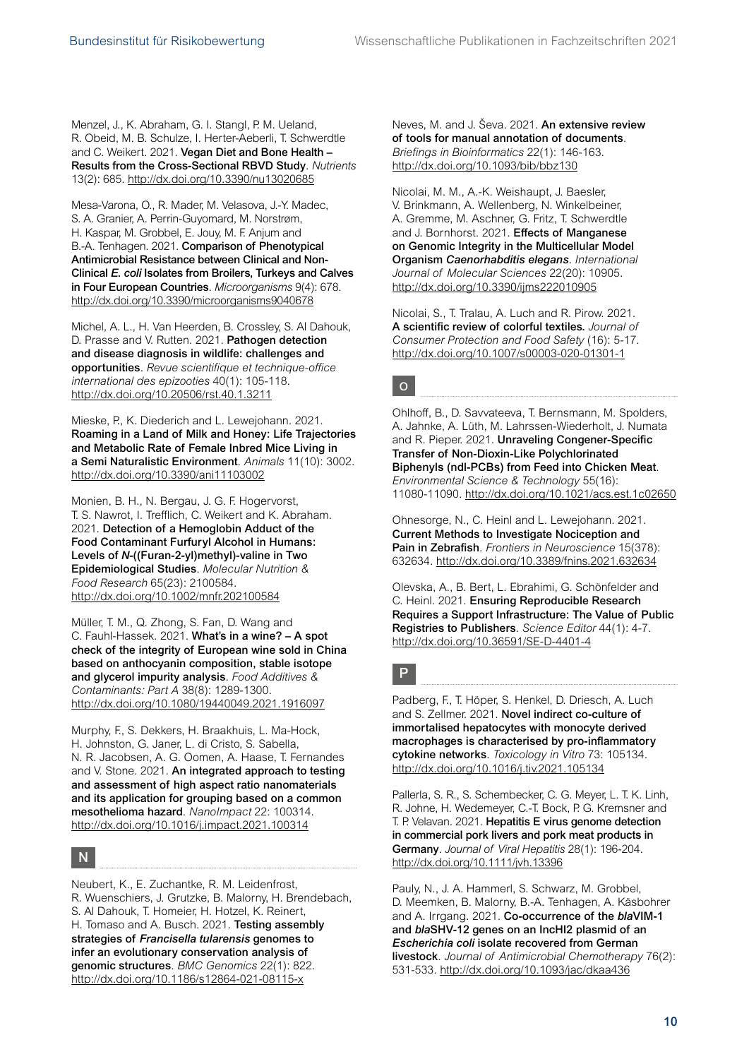Menzel, J., K. Abraham, G. I. Stangl, P. M. Ueland, R. Obeid, M. B. Schulze, I. Herter-Aeberli, T. Schwerdtle and C. Weikert. 2021. Vegan Diet and Bone Health – Results from the Cross-Sectional RBVD Study. *Nutrients* 13(2): 685. <http://dx.doi.org/10.3390/nu13020685>

Mesa-Varona, O., R. Mader, M. Velasova, J.-Y. Madec, S. A. Granier, A. Perrin-Guyomard, M. Norstrøm, H. Kaspar, M. Grobbel, E. Jouy, M. F. Anjum and B.-A. Tenhagen. 2021. Comparison of Phenotypical Antimicrobial Resistance between Clinical and Non-Clinical *E. coli* Isolates from Broilers, Turkeys and Calves in Four European Countries. *Microorganisms* 9(4): 678. <http://dx.doi.org/10.3390/microorganisms9040678>

Michel, A. L., H. Van Heerden, B. Crossley, S. Al Dahouk, D. Prasse and V. Rutten. 2021. Pathogen detection and disease diagnosis in wildlife: challenges and opportunities. *Revue scientifique et technique-office international des epizooties* 40(1): 105-118. <http://dx.doi.org/10.20506/rst.40.1.3211>

Mieske, P., K. Diederich and L. Lewejohann. 2021. Roaming in a Land of Milk and Honey: Life Trajectories and Metabolic Rate of Female Inbred Mice Living in a Semi Naturalistic Environment. *Animals* 11(10): 3002. <http://dx.doi.org/10.3390/ani11103002>

Monien, B. H., N. Bergau, J. G. F. Hogervorst, T. S. Nawrot, I. Trefflich, C. Weikert and K. Abraham. 2021. Detection of a Hemoglobin Adduct of the Food Contaminant Furfuryl Alcohol in Humans: Levels of *N*-((Furan-2-yl)methyl)-valine in Two Epidemiological Studies. *Molecular Nutrition & Food Research* 65(23): 2100584. <http://dx.doi.org/10.1002/mnfr.202100584>

Müller, T. M., Q. Zhong, S. Fan, D. Wang and C. Fauhl-Hassek. 2021. What's in a wine? – A spot check of the integrity of European wine sold in China based on anthocyanin composition, stable isotope and glycerol impurity analysis. *Food Additives & Contaminants: Part A* 38(8): 1289-1300. <http://dx.doi.org/10.1080/19440049.2021.1916097>

Murphy, F., S. Dekkers, H. Braakhuis, L. Ma-Hock, H. Johnston, G. Janer, L. di Cristo, S. Sabella, N. R. Jacobsen, A. G. Oomen, A. Haase, T. Fernandes and V. Stone. 2021. An integrated approach to testing and assessment of high aspect ratio nanomaterials and its application for grouping based on a common mesothelioma hazard. *NanoImpact* 22: 100314. <http://dx.doi.org/10.1016/j.impact.2021.100314>

#### N

Neubert, K., E. Zuchantke, R. M. Leidenfrost, R. Wuenschiers, J. Grutzke, B. Malorny, H. Brendebach, S. Al Dahouk, T. Homeier, H. Hotzel, K. Reinert, H. Tomaso and A. Busch. 2021. Testing assembly strategies of *Francisella tularensis* genomes to infer an evolutionary conservation analysis of genomic structures. *BMC Genomics* 22(1): 822. <http://dx.doi.org/10.1186/s12864-021-08115-x>

Neves, M. and J. Ševa. 2021. An extensive review of tools for manual annotation of documents. *Briefings in Bioinformatics* 22(1): 146-163. <http://dx.doi.org/10.1093/bib/bbz130>

Nicolai, M. M., A.-K. Weishaupt, J. Baesler, V. Brinkmann, A. Wellenberg, N. Winkelbeiner, A. Gremme, M. Aschner, G. Fritz, T. Schwerdtle and J. Bornhorst. 2021. Effects of Manganese on Genomic Integrity in the Multicellular Model Organism *Caenorhabditis elegans*. *International Journal of Molecular Sciences* 22(20): 10905. <http://dx.doi.org/10.3390/ijms222010905>

Nicolai, S., T. Tralau, A. Luch and R. Pirow. 2021. A scientific review of colorful textiles. *Journal of Consumer Protection and Food Safety* (16): 5-17. <http://dx.doi.org/10.1007/s00003-020-01301-1>

O

Ohlhoff, B., D. Savvateeva, T. Bernsmann, M. Spolders, A. Jahnke, A. Lüth, M. Lahrssen-Wiederholt, J. Numata and R. Pieper. 2021. Unraveling Congener-Specific Transfer of Non-Dioxin-Like Polychlorinated Biphenyls (ndl-PCBs) from Feed into Chicken Meat. *Environmental Science & Technology* 55(16): 11080-11090. <http://dx.doi.org/10.1021/acs.est.1c02650>

Ohnesorge, N., C. Heinl and L. Lewejohann. 2021. Current Methods to Investigate Nociception and Pain in Zebrafish. *Frontiers in Neuroscience* 15(378): 632634. <http://dx.doi.org/10.3389/fnins.2021.632634>

Olevska, A., B. Bert, L. Ebrahimi, G. Schönfelder and C. Heinl. 2021. Ensuring Reproducible Research Requires a Support Infrastructure: The Value of Public Registries to Publishers. *Science Editor* 44(1): 4-7. <http://dx.doi.org/10.36591/SE-D-4401-4>

P

Padberg, F., T. Höper, S. Henkel, D. Driesch, A. Luch and S. Zellmer. 2021. Novel indirect co-culture of immortalised hepatocytes with monocyte derived macrophages is characterised by pro-inflammatory cytokine networks. *Toxicology in Vitro* 73: 105134. <http://dx.doi.org/10.1016/j.tiv.2021.105134>

Pallerla, S. R., S. Schembecker, C. G. Meyer, L. T. K. Linh, R. Johne, H. Wedemeyer, C.-T. Bock, P. G. Kremsner and T. P. Velavan. 2021. Hepatitis E virus genome detection in commercial pork livers and pork meat products in Germany. *Journal of Viral Hepatitis* 28(1): 196-204. <http://dx.doi.org/10.1111/jvh.13396>

Pauly, N., J. A. Hammerl, S. Schwarz, M. Grobbel, D. Meemken, B. Malorny, B.-A. Tenhagen, A. Käsbohrer and A. Irrgang. 2021. Co-occurrence of the *bla*VIM-1 and *bla*SHV-12 genes on an IncHI2 plasmid of an *Escherichia coli* isolate recovered from German livestock. *Journal of Antimicrobial Chemotherapy* 76(2): 531-533. <http://dx.doi.org/10.1093/jac/dkaa436>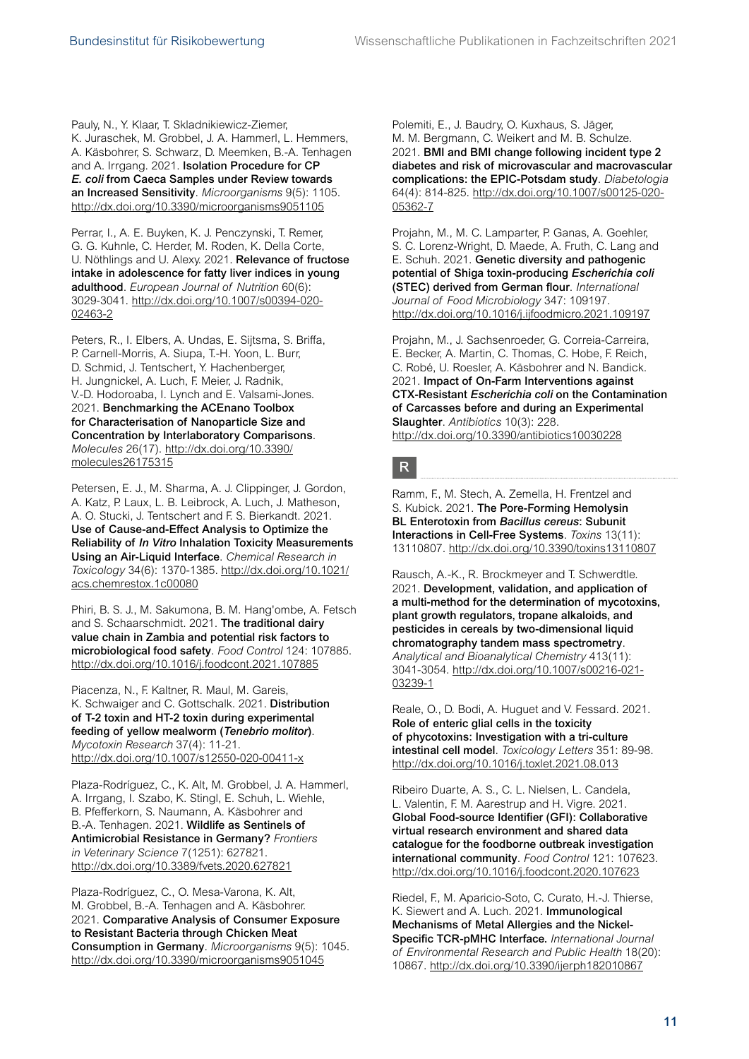Pauly, N., Y. Klaar, T. Skladnikiewicz-Ziemer, K. Juraschek, M. Grobbel, J. A. Hammerl, L. Hemmers, A. Käsbohrer, S. Schwarz, D. Meemken, B.-A. Tenhagen and A. Irrgang. 2021. Isolation Procedure for CP *E. coli* from Caeca Samples under Review towards an Increased Sensitivity. *Microorganisms* 9(5): 1105. <http://dx.doi.org/10.3390/microorganisms9051105>

Perrar, I., A. E. Buyken, K. J. Penczynski, T. Remer, G. G. Kuhnle, C. Herder, M. Roden, K. Della Corte, U. Nöthlings and U. Alexy. 2021. Relevance of fructose intake in adolescence for fatty liver indices in young adulthood. *European Journal of Nutrition* 60(6): 3029-3041. [http://dx.doi.org/10.1007/s00394-020-](http://dx.doi.org/10.1007/s00394-020-02463-2) [02463-2](http://dx.doi.org/10.1007/s00394-020-02463-2)

Peters, R., I. Elbers, A. Undas, E. Sijtsma, S. Briffa, P. Carnell-Morris, A. Siupa, T.-H. Yoon, L. Burr, D. Schmid, J. Tentschert, Y. Hachenberger, H. Jungnickel, A. Luch, F. Meier, J. Radnik, V.-D. Hodoroaba, I. Lynch and E. Valsami-Jones. 2021. Benchmarking the ACEnano Toolbox for Characterisation of Nanoparticle Size and Concentration by Interlaboratory Comparisons. *Molecules* 26(17). [http://dx.doi.org/10.3390/](http://dx.doi.org/10.3390/molecules26175315) [molecules26175315](http://dx.doi.org/10.3390/molecules26175315)

Petersen, E. J., M. Sharma, A. J. Clippinger, J. Gordon, A. Katz, P. Laux, L. B. Leibrock, A. Luch, J. Matheson, A. O. Stucki, J. Tentschert and F. S. Bierkandt. 2021. Use of Cause-and-Effect Analysis to Optimize the Reliability of *In Vitro* Inhalation Toxicity Measurements Using an Air-Liquid Interface. *Chemical Research in Toxicology* 34(6): 1370-1385. [http://dx.doi.org/10.1021/](http://dx.doi.org/10.1021/acs.chemrestox.1c00080) [acs.chemrestox.1c00080](http://dx.doi.org/10.1021/acs.chemrestox.1c00080)

Phiri, B. S. J., M. Sakumona, B. M. Hang'ombe, A. Fetsch and S. Schaarschmidt. 2021. The traditional dairy value chain in Zambia and potential risk factors to microbiological food safety. *Food Control* 124: 107885. <http://dx.doi.org/10.1016/j.foodcont.2021.107885>

Piacenza, N., F. Kaltner, R. Maul, M. Gareis, K. Schwaiger and C. Gottschalk. 2021. Distribution of T-2 toxin and HT-2 toxin during experimental feeding of yellow mealworm (*Tenebrio molitor*). *Mycotoxin Research* 37(4): 11-21. <http://dx.doi.org/10.1007/s12550-020-00411-x>

Plaza-Rodríguez, C., K. Alt, M. Grobbel, J. A. Hammerl, A. Irrgang, I. Szabo, K. Stingl, E. Schuh, L. Wiehle, B. Pfefferkorn, S. Naumann, A. Käsbohrer and B.-A. Tenhagen. 2021. Wildlife as Sentinels of Antimicrobial Resistance in Germany? *Frontiers in Veterinary Science* 7(1251): 627821. <http://dx.doi.org/10.3389/fvets.2020.627821>

Plaza-Rodríguez, C., O. Mesa-Varona, K. Alt, M. Grobbel, B.-A. Tenhagen and A. Käsbohrer. 2021. Comparative Analysis of Consumer Exposure to Resistant Bacteria through Chicken Meat Consumption in Germany. *Microorganisms* 9(5): 1045. <http://dx.doi.org/10.3390/microorganisms9051045>

Polemiti, E., J. Baudry, O. Kuxhaus, S. Jäger, M. M. Bergmann, C. Weikert and M. B. Schulze. 2021. BMI and BMI change following incident type 2 diabetes and risk of microvascular and macrovascular complications: the EPIC-Potsdam study. *Diabetologia* 64(4): 814-825. [http://dx.doi.org/10.1007/s00125-020-](http://dx.doi.org/10.1007/s00125-020-05362-7) [05362-7](http://dx.doi.org/10.1007/s00125-020-05362-7)

Projahn, M., M. C. Lamparter, P. Ganas, A. Goehler, S. C. Lorenz-Wright, D. Maede, A. Fruth, C. Lang and E. Schuh. 2021. Genetic diversity and pathogenic potential of Shiga toxin-producing *Escherichia coli* (STEC) derived from German flour. *International Journal of Food Microbiology* 347: 109197. <http://dx.doi.org/10.1016/j.ijfoodmicro.2021.109197>

Projahn, M., J. Sachsenroeder, G. Correia-Carreira, E. Becker, A. Martin, C. Thomas, C. Hobe, F. Reich, C. Robé, U. Roesler, A. Käsbohrer and N. Bandick. 2021. Impact of On-Farm Interventions against CTX-Resistant *Escherichia coli* on the Contamination of Carcasses before and during an Experimental Slaughter. *Antibiotics* 10(3): 228. <http://dx.doi.org/10.3390/antibiotics10030228>

R

Ramm, F., M. Stech, A. Zemella, H. Frentzel and S. Kubick. 2021. The Pore-Forming Hemolysin BL Enterotoxin from *Bacillus cereus*: Subunit Interactions in Cell-Free Systems. *Toxins* 13(11): 13110807. <http://dx.doi.org/10.3390/toxins13110807>

Rausch, A.-K., R. Brockmeyer and T. Schwerdtle. 2021. Development, validation, and application of a multi-method for the determination of mycotoxins, plant growth regulators, tropane alkaloids, and pesticides in cereals by two-dimensional liquid chromatography tandem mass spectrometry. *Analytical and Bioanalytical Chemistry* 413(11): 3041-3054. [http://dx.doi.org/10.1007/s00216-021-](http://dx.doi.org/10.1007/s00216-021-03239-1) [03239-1](http://dx.doi.org/10.1007/s00216-021-03239-1)

Reale, O., D. Bodi, A. Huguet and V. Fessard. 2021. Role of enteric glial cells in the toxicity of phycotoxins: Investigation with a tri-culture intestinal cell model. *Toxicology Letters* 351: 89-98. <http://dx.doi.org/10.1016/j.toxlet.2021.08.013>

Ribeiro Duarte, A. S., C. L. Nielsen, L. Candela, L. Valentin, F. M. Aarestrup and H. Vigre. 2021. Global Food-source Identifier (GFI): Collaborative virtual research environment and shared data catalogue for the foodborne outbreak investigation international community. *Food Control* 121: 107623. <http://dx.doi.org/10.1016/j.foodcont.2020.107623>

Riedel, F., M. Aparicio-Soto, C. Curato, H.-J. Thierse, K. Siewert and A. Luch. 2021. Immunological Mechanisms of Metal Allergies and the Nickel-Specific TCR-pMHC Interface. *International Journal of Environmental Research and Public Health* 18(20): 10867. <http://dx.doi.org/10.3390/ijerph182010867>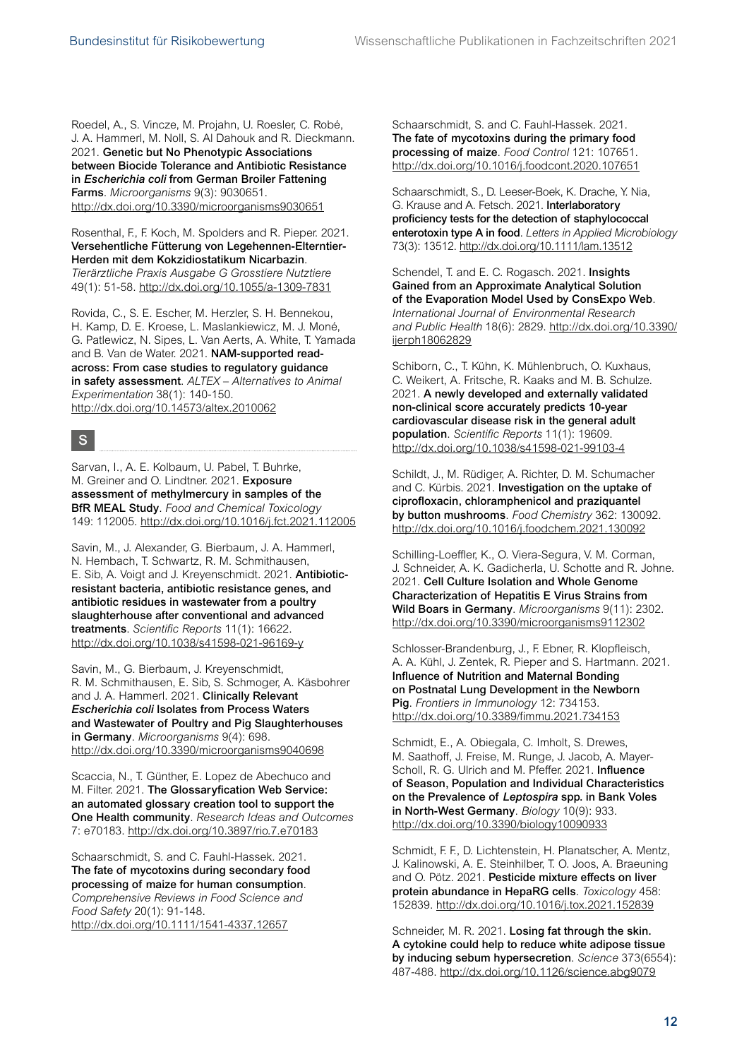Roedel, A., S. Vincze, M. Projahn, U. Roesler, C. Robé, J. A. Hammerl, M. Noll, S. Al Dahouk and R. Dieckmann. 2021. Genetic but No Phenotypic Associations between Biocide Tolerance and Antibiotic Resistance in *Escherichia coli* from German Broiler Fattening Farms. *Microorganisms* 9(3): 9030651. <http://dx.doi.org/10.3390/microorganisms9030651>

Rosenthal, F., F. Koch, M. Spolders and R. Pieper. 2021. Versehentliche Fütterung von Legehennen-Elterntier-Herden mit dem Kokzidiostatikum Nicarbazin. *Tierärztliche Praxis Ausgabe G Grosstiere Nutztiere* 49(1): 51-58. <http://dx.doi.org/10.1055/a-1309-7831>

Rovida, C., S. E. Escher, M. Herzler, S. H. Bennekou, H. Kamp, D. E. Kroese, L. Maslankiewicz, M. J. Moné, G. Patlewicz, N. Sipes, L. Van Aerts, A. White, T. Yamada and B. Van de Water. 2021. NAM-supported readacross: From case studies to regulatory guidance in safety assessment. *ALTEX – Alternatives to Animal Experimentation* 38(1): 140-150. <http://dx.doi.org/10.14573/altex.2010062>

S

Sarvan, I., A. E. Kolbaum, U. Pabel, T. Buhrke, M. Greiner and O. Lindtner. 2021. Exposure assessment of methylmercury in samples of the BfR MEAL Study. *Food and Chemical Toxicology* 149: 112005. <http://dx.doi.org/10.1016/j.fct.2021.112005>

Savin, M., J. Alexander, G. Bierbaum, J. A. Hammerl, N. Hembach, T. Schwartz, R. M. Schmithausen, E. Sib, A. Voigt and J. Kreyenschmidt. 2021. Antibioticresistant bacteria, antibiotic resistance genes, and antibiotic residues in wastewater from a poultry slaughterhouse after conventional and advanced treatments. *Scientific Reports* 11(1): 16622. <http://dx.doi.org/10.1038/s41598-021-96169-y>

Savin, M., G. Bierbaum, J. Kreyenschmidt, R. M. Schmithausen, E. Sib, S. Schmoger, A. Käsbohrer and J. A. Hammerl. 2021. Clinically Relevant *Escherichia coli* Isolates from Process Waters and Wastewater of Poultry and Pig Slaughterhouses in Germany. *Microorganisms* 9(4): 698. <http://dx.doi.org/10.3390/microorganisms9040698>

Scaccia, N., T. Günther, E. Lopez de Abechuco and M. Filter. 2021. The Glossaryfication Web Service: an automated glossary creation tool to support the One Health community. *Research Ideas and Outcomes* 7: e70183. <http://dx.doi.org/10.3897/rio.7.e70183>

Schaarschmidt, S. and C. Fauhl-Hassek. 2021. The fate of mycotoxins during secondary food processing of maize for human consumption. *Comprehensive Reviews in Food Science and Food Safety* 20(1): 91-148. <http://dx.doi.org/10.1111/1541-4337.12657>

Schaarschmidt, S. and C. Fauhl-Hassek. 2021. The fate of mycotoxins during the primary food processing of maize. *Food Control* 121: 107651. <http://dx.doi.org/10.1016/j.foodcont.2020.107651>

Schaarschmidt, S., D. Leeser-Boek, K. Drache, Y. Nia, G. Krause and A. Fetsch. 2021. Interlaboratory proficiency tests for the detection of staphylococcal enterotoxin type A in food. *Letters in Applied Microbiology* 73(3): 13512.<http://dx.doi.org/10.1111/lam.13512>

Schendel, T. and E. C. Rogasch. 2021. Insights Gained from an Approximate Analytical Solution of the Evaporation Model Used by ConsExpo Web. *International Journal of Environmental Research and Public Health* 18(6): 2829. [http://dx.doi.org/10.3390/](http://dx.doi.org/10.3390/ijerph18062829) [ijerph18062829](http://dx.doi.org/10.3390/ijerph18062829)

Schiborn, C., T. Kühn, K. Mühlenbruch, O. Kuxhaus, C. Weikert, A. Fritsche, R. Kaaks and M. B. Schulze. 2021. A newly developed and externally validated non-clinical score accurately predicts 10-year cardiovascular disease risk in the general adult population. *Scientific Reports* 11(1): 19609. <http://dx.doi.org/10.1038/s41598-021-99103-4>

Schildt, J., M. Rüdiger, A. Richter, D. M. Schumacher and C. Kürbis. 2021. Investigation on the uptake of ciprofloxacin, chloramphenicol and praziquantel by button mushrooms. *Food Chemistry* 362: 130092. <http://dx.doi.org/10.1016/j.foodchem.2021.130092>

Schilling-Loeffler, K., O. Viera-Segura, V. M. Corman, J. Schneider, A. K. Gadicherla, U. Schotte and R. Johne. 2021. Cell Culture Isolation and Whole Genome Characterization of Hepatitis E Virus Strains from Wild Boars in Germany. *Microorganisms* 9(11): 2302. <http://dx.doi.org/10.3390/microorganisms9112302>

Schlosser-Brandenburg, J., F. Ebner, R. Klopfleisch, A. A. Kühl, J. Zentek, R. Pieper and S. Hartmann. 2021. Influence of Nutrition and Maternal Bonding on Postnatal Lung Development in the Newborn Pig. *Frontiers in Immunology* 12: 734153. <http://dx.doi.org/10.3389/fimmu.2021.734153>

Schmidt, E., A. Obiegala, C. Imholt, S. Drewes, M. Saathoff, J. Freise, M. Runge, J. Jacob, A. Mayer-Scholl, R. G. Ulrich and M. Pfeffer. 2021. Influence of Season, Population and Individual Characteristics on the Prevalence of *Leptospira* spp. in Bank Voles in North-West Germany. *Biology* 10(9): 933. <http://dx.doi.org/10.3390/biology10090933>

Schmidt, F. F., D. Lichtenstein, H. Planatscher, A. Mentz, J. Kalinowski, A. E. Steinhilber, T. O. Joos, A. Braeuning and O. Pötz. 2021. Pesticide mixture effects on liver protein abundance in HepaRG cells. *Toxicology* 458: 152839. <http://dx.doi.org/10.1016/j.tox.2021.152839>

Schneider, M. R. 2021. Losing fat through the skin. A cytokine could help to reduce white adipose tissue by inducing sebum hypersecretion. *Science* 373(6554): 487-488. <http://dx.doi.org/10.1126/science.abg9079>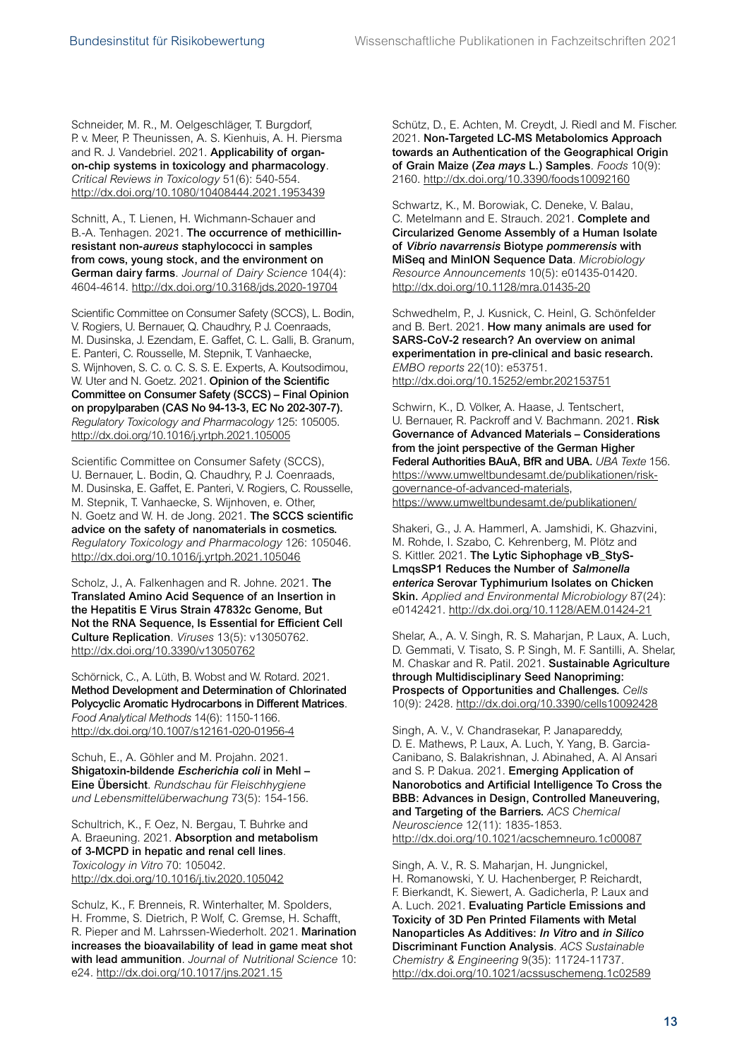Schneider, M. R., M. Oelgeschläger, T. Burgdorf, P. v. Meer, P. Theunissen, A. S. Kienhuis, A. H. Piersma and R. J. Vandebriel. 2021. Applicability of organon-chip systems in toxicology and pharmacology. *Critical Reviews in Toxicology* 51(6): 540-554. <http://dx.doi.org/10.1080/10408444.2021.1953439>

Schnitt, A., T. Lienen, H. Wichmann-Schauer and B.-A. Tenhagen. 2021. The occurrence of methicillinresistant non-*aureus* staphylococci in samples from cows, young stock, and the environment on German dairy farms. *Journal of Dairy Science* 104(4): 4604-4614. <http://dx.doi.org/10.3168/jds.2020-19704>

Scientific Committee on Consumer Safety (SCCS), L. Bodin, V. Rogiers, U. Bernauer, Q. Chaudhry, P. J. Coenraads, M. Dusinska, J. Ezendam, E. Gaffet, C. L. Galli, B. Granum, E. Panteri, C. Rousselle, M. Stepnik, T. Vanhaecke, S. Wijnhoven, S. C. o. C. S. S. E. Experts, A. Koutsodimou, W. Uter and N. Goetz. 2021. Opinion of the Scientific Committee on Consumer Safety (SCCS) – Final Opinion on propylparaben (CAS No 94-13-3, EC No 202-307-7). *Regulatory Toxicology and Pharmacology* 125: 105005. <http://dx.doi.org/10.1016/j.yrtph.2021.105005>

Scientific Committee on Consumer Safety (SCCS), U. Bernauer, L. Bodin, Q. Chaudhry, P. J. Coenraads, M. Dusinska, E. Gaffet, E. Panteri, V. Rogiers, C. Rousselle, M. Stepnik, T. Vanhaecke, S. Wijnhoven, e. Other, N. Goetz and W. H. de Jong. 2021. The SCCS scientific advice on the safety of nanomaterials in cosmetics. *Regulatory Toxicology and Pharmacology* 126: 105046. <http://dx.doi.org/10.1016/j.yrtph.2021.105046>

Scholz, J., A. Falkenhagen and R. Johne. 2021. The Translated Amino Acid Sequence of an Insertion in the Hepatitis E Virus Strain 47832c Genome, But Not the RNA Sequence, Is Essential for Efficient Cell Culture Replication. *Viruses* 13(5): v13050762. <http://dx.doi.org/10.3390/v13050762>

Schörnick, C., A. Lüth, B. Wobst and W. Rotard. 2021. Method Development and Determination of Chlorinated Polycyclic Aromatic Hydrocarbons in Different Matrices. *Food Analytical Methods* 14(6): 1150-1166. <http://dx.doi.org/10.1007/s12161-020-01956-4>

Schuh, E., A. Göhler and M. Projahn. 2021. Shigatoxin-bildende *Escherichia coli* in Mehl – Eine Übersicht. *Rundschau für Fleischhygiene und Lebensmittelüberwachung* 73(5): 154-156.

Schultrich, K., F. Oez, N. Bergau, T. Buhrke and A. Braeuning. 2021. Absorption and metabolism of 3-MCPD in hepatic and renal cell lines. *Toxicology in Vitro* 70: 105042. <http://dx.doi.org/10.1016/j.tiv.2020.105042>

Schulz, K., F. Brenneis, R. Winterhalter, M. Spolders, H. Fromme, S. Dietrich, P. Wolf, C. Gremse, H. Schafft, R. Pieper and M. Lahrssen-Wiederholt. 2021. Marination increases the bioavailability of lead in game meat shot with lead ammunition. *Journal of Nutritional Science* 10: e24. <http://dx.doi.org/10.1017/jns.2021.15>

Schütz, D., E. Achten, M. Creydt, J. Riedl and M. Fischer. 2021. Non-Targeted LC-MS Metabolomics Approach towards an Authentication of the Geographical Origin of Grain Maize (*Zea mays* L.) Samples. *Foods* 10(9): 2160. <http://dx.doi.org/10.3390/foods10092160>

Schwartz, K., M. Borowiak, C. Deneke, V. Balau, C. Metelmann and E. Strauch. 2021. Complete and Circularized Genome Assembly of a Human Isolate of *Vibrio navarrensis* Biotype *pommerensis* with MiSeq and MinION Sequence Data. *Microbiology Resource Announcements* 10(5): e01435-01420. <http://dx.doi.org/10.1128/mra.01435-20>

Schwedhelm, P., J. Kusnick, C. Heinl, G. Schönfelder and B. Bert. 2021. How many animals are used for SARS-CoV-2 research? An overview on animal experimentation in pre-clinical and basic research. *EMBO reports* 22(10): e53751. <http://dx.doi.org/10.15252/embr.202153751>

Schwirn, K., D. Völker, A. Haase, J. Tentschert, U. Bernauer, R. Packroff and V. Bachmann. 2021. Risk Governance of Advanced Materials – Considerations from the joint perspective of the German Higher Federal Authorities BAuA, BfR and UBA. *UBA Texte* 156. [https://www.umweltbundesamt.de/publikationen/risk](https://www.umweltbundesamt.de/publikationen/risk-governance-of-advanced-materials)[governance-of-advanced-materials,](https://www.umweltbundesamt.de/publikationen/risk-governance-of-advanced-materials) <https://www.umweltbundesamt.de/publikationen/>

Shakeri, G., J. A. Hammerl, A. Jamshidi, K. Ghazvini, M. Rohde, I. Szabo, C. Kehrenberg, M. Plötz and S. Kittler. 2021. The Lytic Siphophage vB\_StyS-LmqsSP1 Reduces the Number of *Salmonella enterica* Serovar Typhimurium Isolates on Chicken Skin. *Applied and Environmental Microbiology* 87(24): e0142421. <http://dx.doi.org/10.1128/AEM.01424-21>

Shelar, A., A. V. Singh, R. S. Maharjan, P. Laux, A. Luch, D. Gemmati, V. Tisato, S. P. Singh, M. F. Santilli, A. Shelar, M. Chaskar and R. Patil. 2021. Sustainable Agriculture through Multidisciplinary Seed Nanopriming: Prospects of Opportunities and Challenges. *Cells* 10(9): 2428. <http://dx.doi.org/10.3390/cells10092428>

Singh, A. V., V. Chandrasekar, P. Janapareddy, D. E. Mathews, P. Laux, A. Luch, Y. Yang, B. Garcia-Canibano, S. Balakrishnan, J. Abinahed, A. Al Ansari and S. P. Dakua. 2021. Emerging Application of Nanorobotics and Artificial Intelligence To Cross the BBB: Advances in Design, Controlled Maneuvering, and Targeting of the Barriers. *ACS Chemical Neuroscience* 12(11): 1835-1853. <http://dx.doi.org/10.1021/acschemneuro.1c00087>

Singh, A. V., R. S. Maharjan, H. Jungnickel, H. Romanowski, Y. U. Hachenberger, P. Reichardt, F. Bierkandt, K. Siewert, A. Gadicherla, P. Laux and A. Luch. 2021. Evaluating Particle Emissions and Toxicity of 3D Pen Printed Filaments with Metal Nanoparticles As Additives: *In Vitro* and *in Silico* Discriminant Function Analysis. *ACS Sustainable Chemistry & Engineering* 9(35): 11724-11737. <http://dx.doi.org/10.1021/acssuschemeng.1c02589>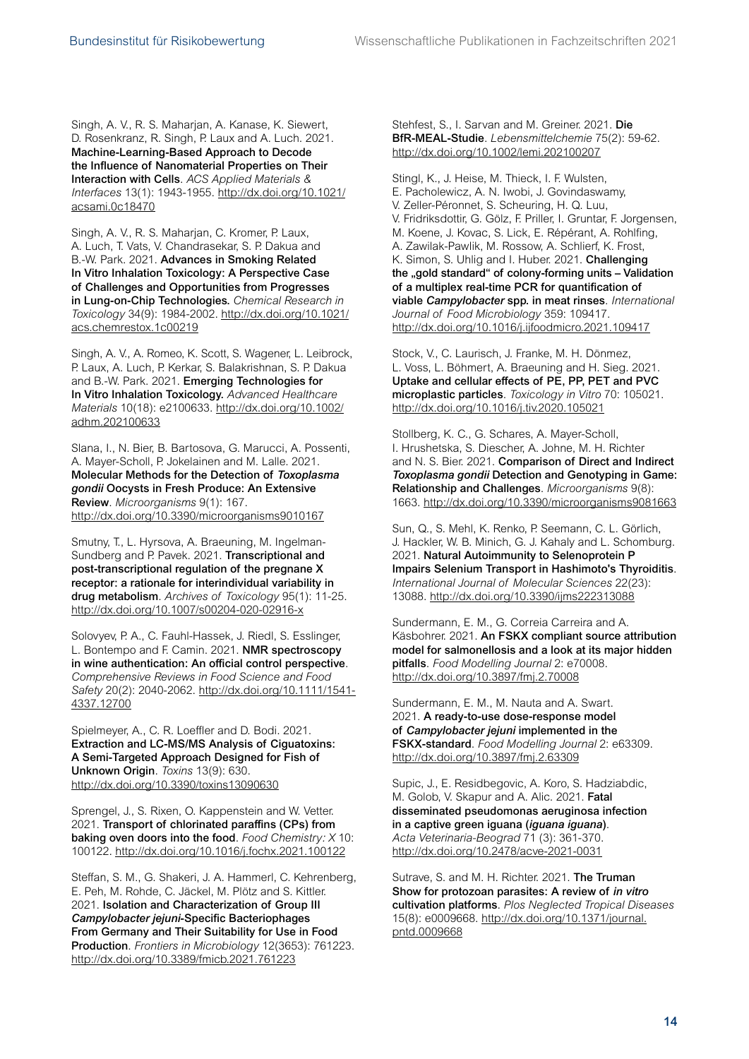Singh, A. V., R. S. Maharjan, A. Kanase, K. Siewert, D. Rosenkranz, R. Singh, P. Laux and A. Luch. 2021. Machine-Learning-Based Approach to Decode the Influence of Nanomaterial Properties on Their Interaction with Cells. *ACS Applied Materials & Interfaces* 13(1): 1943-1955. [http://dx.doi.org/10.1021/](http://dx.doi.org/10.1021/acsami.0c18470) [acsami.0c18470](http://dx.doi.org/10.1021/acsami.0c18470)

Singh, A. V., R. S. Maharjan, C. Kromer, P. Laux, A. Luch, T. Vats, V. Chandrasekar, S. P. Dakua and B.-W. Park. 2021. Advances in Smoking Related In Vitro Inhalation Toxicology: A Perspective Case of Challenges and Opportunities from Progresses in Lung-on-Chip Technologies. *Chemical Research in Toxicology* 34(9): 1984-2002. [http://dx.doi.org/10.1021/](http://dx.doi.org/10.1021/acs.chemrestox.1c00219) [acs.chemrestox.1c00219](http://dx.doi.org/10.1021/acs.chemrestox.1c00219)

Singh, A. V., A. Romeo, K. Scott, S. Wagener, L. Leibrock, P. Laux, A. Luch, P. Kerkar, S. Balakrishnan, S. P. Dakua and B.-W. Park. 2021. Emerging Technologies for In Vitro Inhalation Toxicology. *Advanced Healthcare Materials* 10(18): e2100633. [http://dx.doi.org/10.1002/](http://dx.doi.org/10.1002/adhm.202100633) [adhm.202100633](http://dx.doi.org/10.1002/adhm.202100633)

Slana, I., N. Bier, B. Bartosova, G. Marucci, A. Possenti, A. Mayer-Scholl, P. Jokelainen and M. Lalle. 2021. Molecular Methods for the Detection of *Toxoplasma gondii* Oocysts in Fresh Produce: An Extensive Review. *Microorganisms* 9(1): 167. <http://dx.doi.org/10.3390/microorganisms9010167>

Smutny, T., L. Hyrsova, A. Braeuning, M. Ingelman-Sundberg and P. Pavek. 2021. Transcriptional and post-transcriptional regulation of the pregnane X receptor: a rationale for interindividual variability in drug metabolism. *Archives of Toxicology* 95(1): 11-25. <http://dx.doi.org/10.1007/s00204-020-02916-x>

Solovyev, P. A., C. Fauhl-Hassek, J. Riedl, S. Esslinger, L. Bontempo and F. Camin. 2021. NMR spectroscopy in wine authentication: An official control perspective. *Comprehensive Reviews in Food Science and Food Safety* 20(2): 2040-2062. [http://dx.doi.org/10.1111/1541-](http://dx.doi.org/10.1111/1541-4337.12700) [4337.12700](http://dx.doi.org/10.1111/1541-4337.12700)

Spielmeyer, A., C. R. Loeffler and D. Bodi. 2021. Extraction and LC-MS/MS Analysis of Ciguatoxins: A Semi-Targeted Approach Designed for Fish of Unknown Origin. *Toxins* 13(9): 630. <http://dx.doi.org/10.3390/toxins13090630>

Sprengel, J., S. Rixen, O. Kappenstein and W. Vetter. 2021. Transport of chlorinated paraffins (CPs) from baking oven doors into the food. *Food Chemistry: X* 10: 100122. <http://dx.doi.org/10.1016/j.fochx.2021.100122>

Steffan, S. M., G. Shakeri, J. A. Hammerl, C. Kehrenberg, E. Peh, M. Rohde, C. Jäckel, M. Plötz and S. Kittler. 2021. Isolation and Characterization of Group III *Campylobacter jejuni*-Specific Bacteriophages From Germany and Their Suitability for Use in Food Production. *Frontiers in Microbiology* 12(3653): 761223. <http://dx.doi.org/10.3389/fmicb.2021.761223>

Stehfest, S., I. Sarvan and M. Greiner. 2021. Die BfR-MEAL-Studie. *Lebensmittelchemie* 75(2): 59-62. <http://dx.doi.org/10.1002/lemi.202100207>

Stingl, K., J. Heise, M. Thieck, I. F. Wulsten, E. Pacholewicz, A. N. Iwobi, J. Govindaswamy, V. Zeller-Péronnet, S. Scheuring, H. Q. Luu, V. Fridriksdottir, G. Gölz, F. Priller, I. Gruntar, F. Jorgensen, M. Koene, J. Kovac, S. Lick, E. Répérant, A. Rohlfing, A. Zawilak-Pawlik, M. Rossow, A. Schlierf, K. Frost, K. Simon, S. Uhlig and I. Huber. 2021. Challenging the "gold standard" of colony-forming units - Validation of a multiplex real-time PCR for quantification of viable *Campylobacter* spp. in meat rinses. *International Journal of Food Microbiology* 359: 109417. <http://dx.doi.org/10.1016/j.ijfoodmicro.2021.109417>

Stock, V., C. Laurisch, J. Franke, M. H. Dönmez, L. Voss, L. Böhmert, A. Braeuning and H. Sieg. 2021. Uptake and cellular effects of PE, PP, PET and PVC microplastic particles. *Toxicology in Vitro* 70: 105021. <http://dx.doi.org/10.1016/j.tiv.2020.105021>

Stollberg, K. C., G. Schares, A. Mayer-Scholl, I. Hrushetska, S. Diescher, A. Johne, M. H. Richter and N. S. Bier. 2021. Comparison of Direct and Indirect *Toxoplasma gondii* Detection and Genotyping in Game: Relationship and Challenges. *Microorganisms* 9(8): 1663. <http://dx.doi.org/10.3390/microorganisms9081663>

Sun, Q., S. Mehl, K. Renko, P. Seemann, C. L. Görlich, J. Hackler, W. B. Minich, G. J. Kahaly and L. Schomburg. 2021. Natural Autoimmunity to Selenoprotein P Impairs Selenium Transport in Hashimoto's Thyroiditis. *International Journal of Molecular Sciences* 22(23): 13088. <http://dx.doi.org/10.3390/ijms222313088>

Sundermann, E. M., G. Correia Carreira and A. Käsbohrer. 2021. An FSKX compliant source attribution model for salmonellosis and a look at its major hidden pitfalls. *Food Modelling Journal* 2: e70008. <http://dx.doi.org/10.3897/fmj.2.70008>

Sundermann, E. M., M. Nauta and A. Swart. 2021. A ready-to-use dose-response model of *Campylobacter jejuni* implemented in the FSKX-standard. *Food Modelling Journal* 2: e63309. <http://dx.doi.org/10.3897/fmj.2.63309>

Supic, J., E. Residbegovic, A. Koro, S. Hadziabdic, M. Golob, V. Skapur and A. Alic. 2021. Fatal disseminated pseudomonas aeruginosa infection in a captive green iguana (*iguana iguana*). *Acta Veterinaria-Beograd* 71 (3): 361-370. <http://dx.doi.org/10.2478/acve-2021-0031>

Sutrave, S. and M. H. Richter. 2021. The Truman Show for protozoan parasites: A review of *in vitro* cultivation platforms. *Plos Neglected Tropical Diseases* 15(8): e0009668. [http://dx.doi.org/10.1371/journal.](http://dx.doi.org/10.1371/journal.pntd.0009668) [pntd.0009668](http://dx.doi.org/10.1371/journal.pntd.0009668)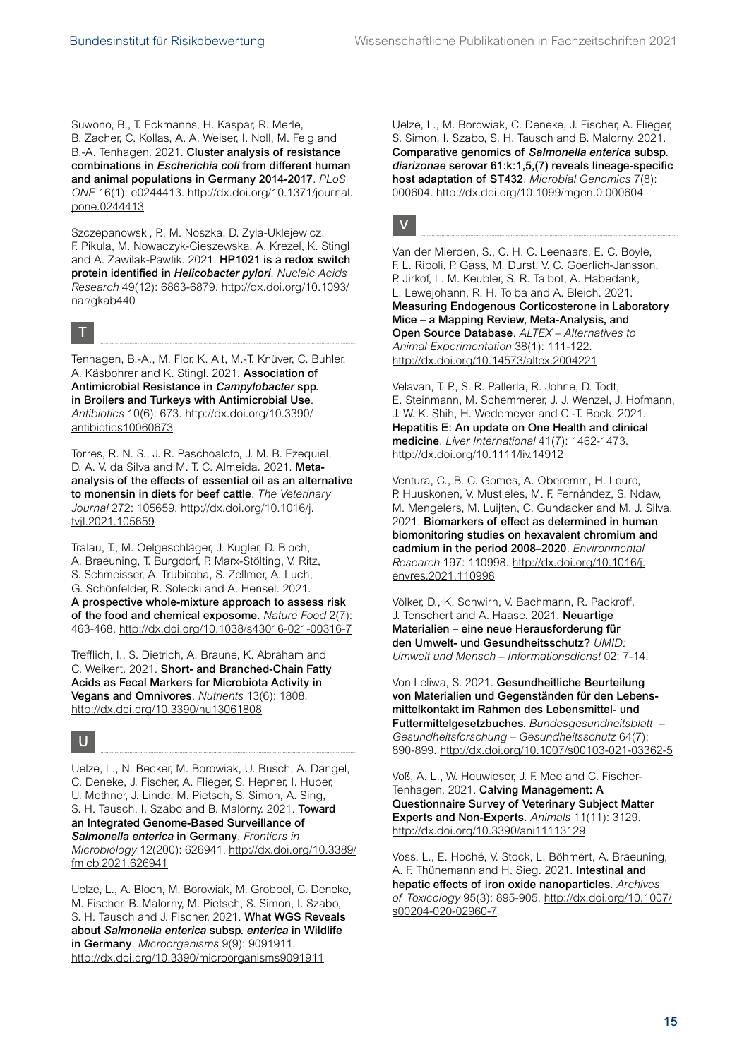Suwono, B., T. Eckmanns, H. Kaspar, R. Merle, B. Zacher, C. Kollas, A. A. Weiser, I. Noll, M. Feig and B.-A. Tenhagen. 2021. Cluster analysis of resistance combinations in *Escherichia coli* from different human and animal populations in Germany 2014-2017. *PLoS ONE* 16(1): e0244413. [http://dx.doi.org/10.1371/journal.](http://dx.doi.org/10.1371/journal.pone.0244413) [pone.0244413](http://dx.doi.org/10.1371/journal.pone.0244413)

Szczepanowski, P., M. Noszka, D. Zyla-Uklejewicz, F. Pikula, M. Nowaczyk-Cieszewska, A. Krezel, K. Stingl and A. Zawilak-Pawlik. 2021. HP1021 is a redox switch protein identified in *Helicobacter pylori*. *Nucleic Acids Research* 49(12): 6863-6879. [http://dx.doi.org/10.1093/](http://dx.doi.org/10.1093/nar/gkab440) [nar/gkab440](http://dx.doi.org/10.1093/nar/gkab440)



Tenhagen, B.-A., M. Flor, K. Alt, M.-T. Knüver, C. Buhler, A. Käsbohrer and K. Stingl. 2021. Association of Antimicrobial Resistance in *Campylobacter* spp. in Broilers and Turkeys with Antimicrobial Use. *Antibiotics* 10(6): 673. [http://dx.doi.org/10.3390/](http://dx.doi.org/10.3390/antibiotics10060673) [antibiotics10060673](http://dx.doi.org/10.3390/antibiotics10060673)

Torres, R. N. S., J. R. Paschoaloto, J. M. B. Ezequiel, D. A. V. da Silva and M. T. C. Almeida. 2021. Metaanalysis of the effects of essential oil as an alternative to monensin in diets for beef cattle. *The Veterinary Journal* 272: 105659. [http://dx.doi.org/10.1016/j.](http://dx.doi.org/10.1016/j.tvjl.2021.105659) [tvjl.2021.105659](http://dx.doi.org/10.1016/j.tvjl.2021.105659)

Tralau, T., M. Oelgeschläger, J. Kugler, D. Bloch, A. Braeuning, T. Burgdorf, P. Marx-Stölting, V. Ritz, S. Schmeisser, A. Trubiroha, S. Zellmer, A. Luch, G. Schönfelder, R. Solecki and A. Hensel. 2021. A prospective whole-mixture approach to assess risk of the food and chemical exposome. *Nature Food* 2(7): 463-468. <http://dx.doi.org/10.1038/s43016-021-00316-7>

Trefflich, I., S. Dietrich, A. Braune, K. Abraham and C. Weikert. 2021. Short- and Branched-Chain Fatty Acids as Fecal Markers for Microbiota Activity in Vegans and Omnivores. *Nutrients* 13(6): 1808. <http://dx.doi.org/10.3390/nu13061808>

#### U

Uelze, L., N. Becker, M. Borowiak, U. Busch, A. Dangel, C. Deneke, J. Fischer, A. Flieger, S. Hepner, I. Huber, U. Methner, J. Linde, M. Pietsch, S. Simon, A. Sing, S. H. Tausch, I. Szabo and B. Malorny. 2021. Toward an Integrated Genome-Based Surveillance of *Salmonella enterica* in Germany. *Frontiers in Microbiology* 12(200): 626941. [http://dx.doi.org/10.3389/](http://dx.doi.org/10.3389/fmicb.2021.626941) [fmicb.2021.626941](http://dx.doi.org/10.3389/fmicb.2021.626941)

Uelze, L., A. Bloch, M. Borowiak, M. Grobbel, C. Deneke, M. Fischer, B. Malorny, M. Pietsch, S. Simon, I. Szabo, S. H. Tausch and J. Fischer. 2021. What WGS Reveals about *Salmonella enterica* subsp. *enterica* in Wildlife in Germany. *Microorganisms* 9(9): 9091911. <http://dx.doi.org/10.3390/microorganisms9091911>

Uelze, L., M. Borowiak, C. Deneke, J. Fischer, A. Flieger, S. Simon, I. Szabo, S. H. Tausch and B. Malorny. 2021. Comparative genomics of *Salmonella enterica* subsp. *diarizonae* serovar 61:k:1,5,(7) reveals lineage-specific host adaptation of ST432. *Microbial Genomics* 7(8): 000604. <http://dx.doi.org/10.1099/mgen.0.000604>



Van der Mierden, S., C. H. C. Leenaars, E. C. Boyle, F. L. Ripoli, P. Gass, M. Durst, V. C. Goerlich-Jansson, P. Jirkof, L. M. Keubler, S. R. Talbot, A. Habedank, L. Lewejohann, R. H. Tolba and A. Bleich. 2021. Measuring Endogenous Corticosterone in Laboratory Mice – a Mapping Review, Meta-Analysis, and Open Source Database. *ALTEX – Alternatives to Animal Experimentation* 38(1): 111-122. <http://dx.doi.org/10.14573/altex.2004221>

Velavan, T. P., S. R. Pallerla, R. Johne, D. Todt, E. Steinmann, M. Schemmerer, J. J. Wenzel, J. Hofmann, J. W. K. Shih, H. Wedemeyer and C.-T. Bock. 2021. Hepatitis E: An update on One Health and clinical medicine. *Liver International* 41(7): 1462-1473. <http://dx.doi.org/10.1111/liv.14912>

Ventura, C., B. C. Gomes, A. Oberemm, H. Louro, P. Huuskonen, V. Mustieles, M. F. Fernández, S. Ndaw, M. Mengelers, M. Luijten, C. Gundacker and M. J. Silva. 2021. Biomarkers of effect as determined in human biomonitoring studies on hexavalent chromium and cadmium in the period 2008–2020. *Environmental Research* 197: 110998. [http://dx.doi.org/10.1016/j.](http://dx.doi.org/10.1016/j.envres.2021.110998) [envres.2021.110998](http://dx.doi.org/10.1016/j.envres.2021.110998)

Völker, D., K. Schwirn, V. Bachmann, R. Packroff, J. Tenschert and A. Haase. 2021. Neuartige Materialien – eine neue Herausforderung für den Umwelt- und Gesundheitsschutz? *UMID: Umwelt und Mensch – Informationsdienst* 02: 7-14.

Von Leliwa, S. 2021. Gesundheitliche Beurteilung von Materialien und Gegenständen für den Lebensmittelkontakt im Rahmen des Lebensmittel- und Futtermittelgesetzbuches. *Bundesgesundheitsblatt – Gesundheitsforschung – Gesundheitsschutz* 64(7): 890-899. http://dx.doi.org/10.1007/s00103-021-03362-5

Voß, A. L., W. Heuwieser, J. F. Mee and C. Fischer-Tenhagen. 2021. Calving Management: A Questionnaire Survey of Veterinary Subject Matter Experts and Non-Experts. *Animals* 11(11): 3129. <http://dx.doi.org/10.3390/ani11113129>

Voss, L., E. Hoché, V. Stock, L. Böhmert, A. Braeuning, A. F. Thünemann and H. Sieg. 2021. Intestinal and hepatic effects of iron oxide nanoparticles. *Archives of Toxicology* 95(3): 895-905. [http://dx.doi.org/10.1007/](http://dx.doi.org/10.1007/s00204-020-02960-7) [s00204-020-02960-7](http://dx.doi.org/10.1007/s00204-020-02960-7)